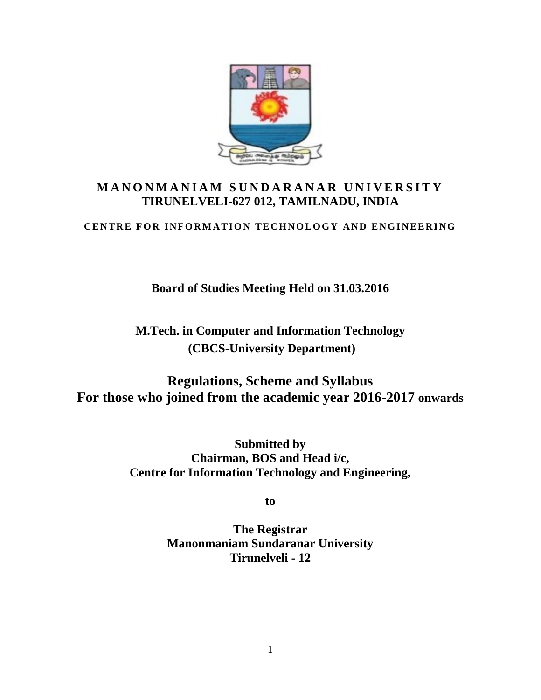

# M A N O N M A N I A M SUND A R A N A R UNIVERSITY **TIRUNELVELI-627 012, TAMILNADU, INDIA CENTRE FOR INFORMATION TECHNOLOGY AND ENGINEERING**<br>CENTRE FOR INFORMATION TECHNOLOGY AND ENGINEERING

**Board of Studies Meeting Held on 31.03.2016**

**M.Tech. in Computer and Information Technology (CBCS-University Department)**

**Regulations, Scheme and Syllabus For those who joined from the academic year 2016-2017 onwards**

> **Submitted by Chairman, BOS and Head i/c, Centre for Information Technology and Engineering,**

> > **to**

**The Registrar Manonmaniam Sundaranar University Tirunelveli - 12**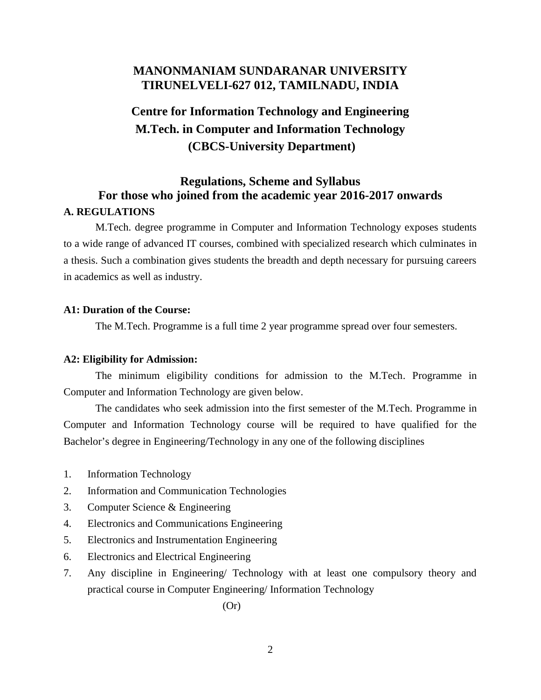# **MANONMANIAM SUNDARANAR UNIVERSITY TIRUNELVELI-627 012, TAMILNADU, INDIA**

# **Centre for Information Technology and Engineering M.Tech. in Computer and Information Technology (CBCS-University Department)**

# **Regulations, Scheme and Syllabus For those who joined from the academic year 2016-2017 onwards A. REGULATIONS**

M.Tech. degree programme in Computer and Information Technology exposes students to a wide range of advanced IT courses, combined with specialized research which culminates in a thesis. Such a combination gives students the breadth and depth necessary for pursuing careers in academics as well as industry.

#### **A1: Duration of the Course:**

The M.Tech. Programme is a full time 2 year programme spread over four semesters.

#### **A2: Eligibility for Admission:**

The minimum eligibility conditions for admission to the M.Tech. Programme in Computer and Information Technology are given below.

The candidates who seek admission into the first semester of the M.Tech. Programme in Computer and Information Technology course will be required to have qualified for the Bachelor's degree in Engineering/Technology in any one of the following disciplines

- 1. Information Technology
- 2. Information and Communication Technologies
- 3. Computer Science & Engineering
- 4. Electronics and Communications Engineering
- 5. Electronics and Instrumentation Engineering
- 6. Electronics and Electrical Engineering
- 7. Any discipline in Engineering/ Technology with at least one compulsory theory and practical course in Computer Engineering/ Information Technology

(Or)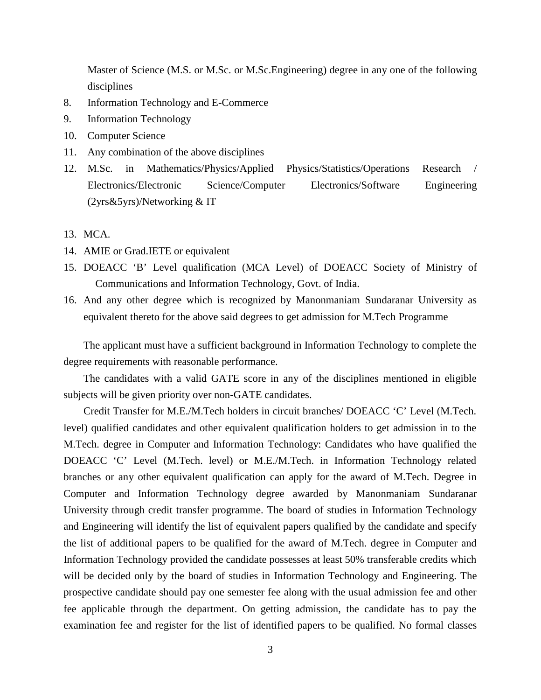Master of Science (M.S. or M.Sc. or M.Sc.Engineering) degree in any one of the following disciplines

- 8. Information Technology and E-Commerce
- 9. Information Technology
- 10. Computer Science
- 11. Any combination of the above disciplines
- 12. M.Sc. in Mathematics/Physics/Applied Physics/Statistics/Operations Research / Electronics/Electronic Science/Computer Electronics/Software Engineering (2yrs&5yrs)/Networking & IT
- 13. MCA.
- 14. AMIE or Grad.IETE or equivalent
- 15. DOEACC 'B' Level qualification (MCA Level) of DOEACC Society of Ministry of Communications and Information Technology, Govt. of India.
- 16. And any other degree which is recognized by Manonmaniam Sundaranar University as equivalent thereto for the above said degrees to get admission for M.Tech Programme

The applicant must have a sufficient background in Information Technology to complete the degree requirements with reasonable performance.

The candidates with a valid GATE score in any of the disciplines mentioned in eligible subjects will be given priority over non-GATE candidates.

Credit Transfer for M.E./M.Tech holders in circuit branches/ DOEACC 'C' Level (M.Tech. level) qualified candidates and other equivalent qualification holders to get admission in to the M.Tech. degree in Computer and Information Technology: Candidates who have qualified the DOEACC 'C' Level (M.Tech. level) or M.E./M.Tech. in Information Technology related branches or any other equivalent qualification can apply for the award of M.Tech. Degree in Computer and Information Technology degree awarded by Manonmaniam Sundaranar University through credit transfer programme. The board of studies in Information Technology and Engineering will identify the list of equivalent papers qualified by the candidate and specify the list of additional papers to be qualified for the award of M.Tech. degree in Computer and Information Technology provided the candidate possesses at least 50% transferable credits which will be decided only by the board of studies in Information Technology and Engineering. The prospective candidate should pay one semester fee along with the usual admission fee and other fee applicable through the department. On getting admission, the candidate has to pay the examination fee and register for the list of identified papers to be qualified. No formal classes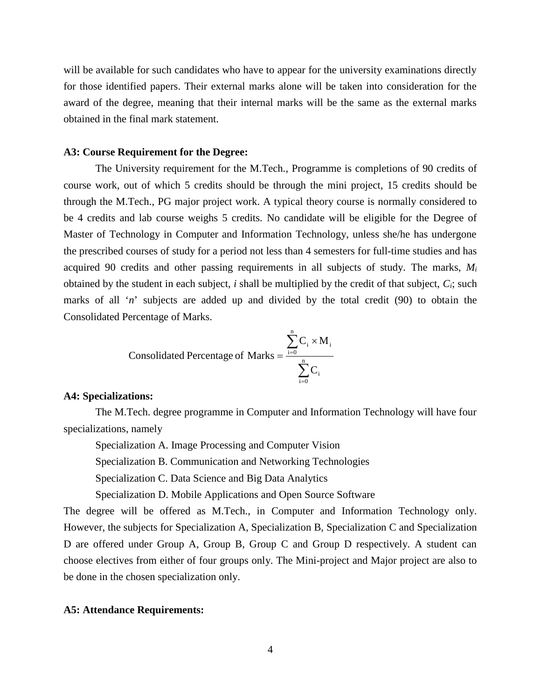will be available for such candidates who have to appear for the university examinations directly for those identified papers. Their external marks alone will be taken into consideration for the award of the degree, meaning that their internal marks will be the same as the external marks obtained in the final mark statement.

#### **A3: Course Requirement for the Degree:**

The University requirement for the M.Tech., Programme is completions of 90 credits of course work, out of which 5 credits should be through the mini project, 15 credits should be through the M.Tech., PG major project work. A typical theory course is normally considered to be 4 credits and lab course weighs 5 credits. No candidate will be eligible for the Degree of Master of Technology in Computer and Information Technology, unless she/he has undergone the prescribed courses of study for a period not less than 4 semesters for full-time studies and has acquired 90 credits and other passing requirements in all subjects of study. The marks, *M<sup>i</sup>* obtained by the student in each subject, *i* shall be multiplied by the credit of that subject, *Ci*; such marks of all '*n*' subjects are added up and divided by the total credit (90) to obtain the Consolidated Percentage of Marks.

Consolidated Percentage of Marks = 
$$
\frac{\sum_{i=0}^{n} C_i \times M_i}{\sum_{i=0}^{n} C_i}
$$

#### **A4: Specializations:**

The M.Tech. degree programme in Computer and Information Technology will have four specializations, namely

Specialization A. Image Processing and Computer Vision

Specialization B. Communication and Networking Technologies

Specialization C. Data Science and Big Data Analytics

Specialization D. Mobile Applications and Open Source Software

The degree will be offered as M.Tech., in Computer and Information Technology only. However, the subjects for Specialization A, Specialization B, Specialization C and Specialization D are offered under Group A, Group B, Group C and Group D respectively. A student can choose electives from either of four groups only. The Mini-project and Major project are also to be done in the chosen specialization only.

#### **A5: Attendance Requirements:**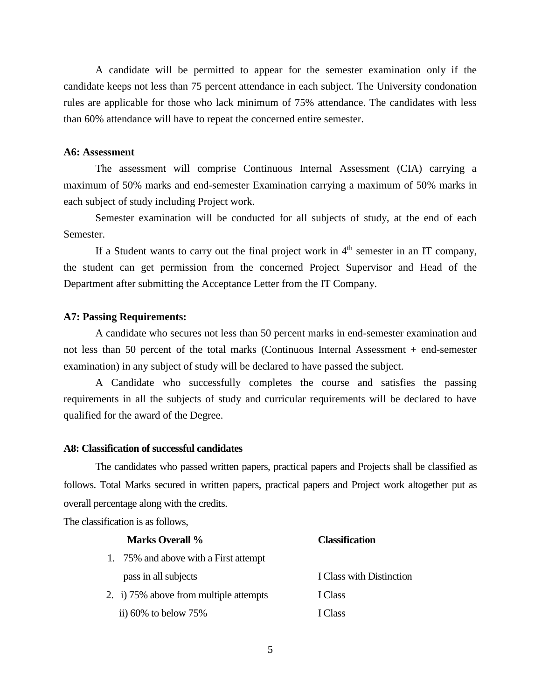A candidate will be permitted to appear for the semester examination only if the candidate keeps not less than 75 percent attendance in each subject. The University condonation rules are applicable for those who lack minimum of 75% attendance. The candidates with less than 60% attendance will have to repeat the concerned entire semester.

#### **A6: Assessment**

The assessment will comprise Continuous Internal Assessment (CIA) carrying a maximum of 50% marks and end-semester Examination carrying a maximum of 50% marks in each subject of study including Project work.

Semester examination will be conducted for all subjects of study, at the end of each Semester.

If a Student wants to carry out the final project work in  $4<sup>th</sup>$  semester in an IT company, the student can get permission from the concerned Project Supervisor and Head of the Department after submitting the Acceptance Letter from the IT Company.

#### **A7: Passing Requirements:**

A candidate who secures not less than 50 percent marks in end-semester examination and not less than 50 percent of the total marks (Continuous Internal Assessment + end-semester examination) in any subject of study will be declared to have passed the subject.

A Candidate who successfully completes the course and satisfies the passing requirements in all the subjects of study and curricular requirements will be declared to have qualified for the award of the Degree.

#### **A8: Classification of successful candidates**

The candidates who passed written papers, practical papers and Projects shall be classified as follows. Total Marks secured in written papers, practical papers and Project work altogether put as overall percentage along with the credits.

The classification is as follows,

| <b>Marks Overall %</b>                 | <b>Classification</b>    |
|----------------------------------------|--------------------------|
| 1. 75% and above with a First attempt  |                          |
| pass in all subjects                   | I Class with Distinction |
| 2. i) 75% above from multiple attempts | I Class                  |
| ii) $60\%$ to below $75\%$             | I Class                  |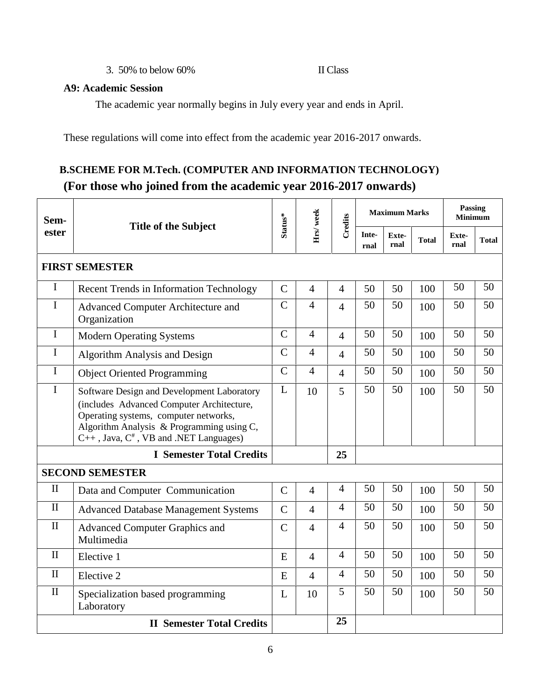3. 50% to below 60% II Class

#### **A9: Academic Session**

The academic year normally begins in July every year and ends in April.

These regulations will come into effect from the academic year 2016-2017 onwards.

# **B.SCHEME FOR M.Tech. (COMPUTER AND INFORMATION TECHNOLOGY) (For those who joined from the academic year 2016-2017 onwards)**

| Sem-         |                                                                                                                                                                                                                               | Status*        | Hrs/week       | Credits        | <b>Maximum Marks</b> |               |              | Passing<br><b>Minimum</b> |              |
|--------------|-------------------------------------------------------------------------------------------------------------------------------------------------------------------------------------------------------------------------------|----------------|----------------|----------------|----------------------|---------------|--------------|---------------------------|--------------|
| ester        | <b>Title of the Subject</b>                                                                                                                                                                                                   |                |                |                | Inte-<br>rnal        | Exte-<br>rnal | <b>Total</b> | Exte-<br>rnal             | <b>Total</b> |
|              | <b>FIRST SEMESTER</b>                                                                                                                                                                                                         |                |                |                |                      |               |              |                           |              |
| I            | <b>Recent Trends in Information Technology</b>                                                                                                                                                                                | $\overline{C}$ | $\overline{4}$ | $\overline{4}$ | 50                   | 50            | 100          | 50                        | 50           |
| I            | Advanced Computer Architecture and<br>Organization                                                                                                                                                                            | $\mathbf C$    | 4              | $\overline{4}$ | 50                   | 50            | 100          | 50                        | 50           |
| $\mathbf I$  | <b>Modern Operating Systems</b>                                                                                                                                                                                               | $\mathsf{C}$   | $\overline{4}$ | $\overline{4}$ | 50                   | 50            | 100          | 50                        | 50           |
| I            | Algorithm Analysis and Design                                                                                                                                                                                                 | $\overline{C}$ | $\overline{4}$ | $\overline{4}$ | 50                   | 50            | 100          | 50                        | 50           |
| $\mathbf I$  | <b>Object Oriented Programming</b>                                                                                                                                                                                            | $\mathbf C$    | $\overline{4}$ | $\overline{4}$ | 50                   | 50            | 100          | 50                        | 50           |
| $\mathbf I$  | Software Design and Development Laboratory<br>(includes Advanced Computer Architecture,<br>Operating systems, computer networks,<br>Algorithm Analysis & Programming using C,<br>$C++$ , Java, $C^*$ , VB and .NET Languages) | L              | 10             | 5              | 50                   | 50            | 100          | 50                        | 50           |
|              | <b>I</b> Semester Total Credits                                                                                                                                                                                               |                |                | 25             |                      |               |              |                           |              |
|              | <b>SECOND SEMESTER</b>                                                                                                                                                                                                        |                |                |                |                      |               |              |                           |              |
| $\mathbf{I}$ | Data and Computer Communication                                                                                                                                                                                               | $\mathcal{C}$  | $\overline{4}$ | 4              | 50                   | 50            | 100          | 50                        | 50           |
| $\mathbf{I}$ | <b>Advanced Database Management Systems</b>                                                                                                                                                                                   | $\mathcal{C}$  | $\overline{4}$ | $\overline{4}$ | 50                   | 50            | 100          | 50                        | 50           |
| $\mathbf{I}$ | <b>Advanced Computer Graphics and</b><br>Multimedia                                                                                                                                                                           | $\overline{C}$ | $\overline{4}$ | $\overline{4}$ | 50                   | 50            | 100          | 50                        | 50           |
| $\mathbf{I}$ | Elective 1                                                                                                                                                                                                                    | E              | $\overline{4}$ | $\overline{4}$ | 50                   | 50            | 100          | 50                        | 50           |
| $\mathbf{I}$ | Elective 2                                                                                                                                                                                                                    | E              | $\overline{4}$ | $\overline{4}$ | 50                   | 50            | 100          | 50                        | 50           |
| $\mathbf{I}$ | Specialization based programming<br>Laboratory                                                                                                                                                                                | L              | 10             | 5              | 50                   | 50            | 100          | 50                        | 50           |
|              | <b>II Semester Total Credits</b>                                                                                                                                                                                              |                |                | 25             |                      |               |              |                           |              |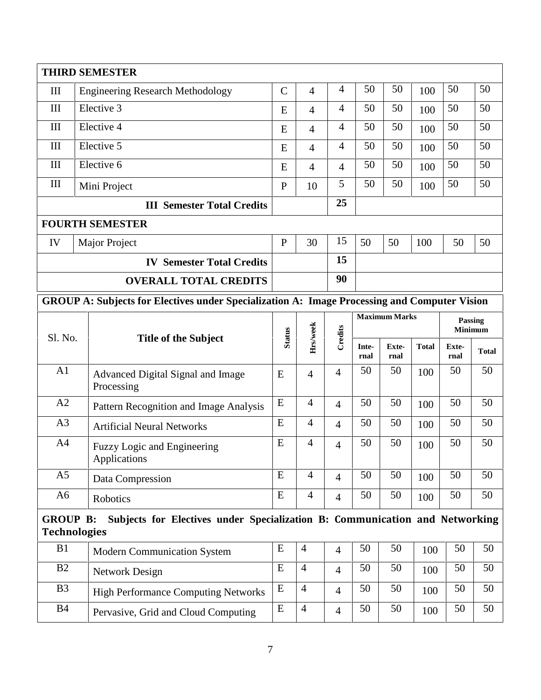|                 | <b>THIRD SEMESTER</b>                                                                              |               |                |                |               |                      |              |               |                           |
|-----------------|----------------------------------------------------------------------------------------------------|---------------|----------------|----------------|---------------|----------------------|--------------|---------------|---------------------------|
| III             | <b>Engineering Research Methodology</b>                                                            | $\mathcal{C}$ | $\overline{4}$ | $\overline{4}$ | 50            | 50                   | 100          | 50            | 50                        |
| III             | Elective 3                                                                                         | E             | $\overline{4}$ | $\overline{4}$ | 50            | 50                   | 100          | 50            | 50                        |
| III             | Elective 4                                                                                         | E             | $\overline{4}$ | $\overline{4}$ | 50            | 50                   | 100          | 50            | 50                        |
| III             | Elective 5                                                                                         | E             | $\overline{4}$ | 4              | 50            | 50                   | 100          | 50            | 50                        |
| III             | Elective 6                                                                                         | E             | $\overline{4}$ | $\overline{4}$ | 50            | 50                   | 100          | 50            | 50                        |
| III             | Mini Project                                                                                       | $\mathbf{P}$  | 10             | 5              | 50            | 50                   | 100          | 50            | 50                        |
|                 | <b>III Semester Total Credits</b>                                                                  |               |                | 25             |               |                      |              |               |                           |
|                 | <b>FOURTH SEMESTER</b>                                                                             |               |                |                |               |                      |              |               |                           |
| IV              | Major Project                                                                                      | $\mathbf{P}$  | 30             | 15             | 50            | 50                   | 100          | 50            | 50                        |
|                 | <b>IV Semester Total Credits</b>                                                                   |               |                | 15             |               |                      |              |               |                           |
|                 | <b>OVERALL TOTAL CREDITS</b>                                                                       |               |                | 90             |               |                      |              |               |                           |
|                 | GROUP A: Subjects for Electives under Specialization A: Image Processing and Computer Vision       |               |                |                |               |                      |              |               |                           |
|                 |                                                                                                    | <b>Status</b> | Hrs/week       | Credits        |               | <b>Maximum Marks</b> |              |               | Passing<br><b>Minimum</b> |
| Sl. No.         | <b>Title of the Subject</b>                                                                        |               |                |                | Inte-<br>rnal | Exte-<br>rnal        | <b>Total</b> | Exte-<br>rnal | <b>Total</b>              |
| A <sub>1</sub>  | Advanced Digital Signal and Image<br>Processing                                                    | E             | $\overline{4}$ | $\overline{4}$ | 50            | 50                   | 100          | 50            | 50                        |
| A2              | Pattern Recognition and Image Analysis                                                             | E             | $\overline{4}$ | $\overline{4}$ | 50            | 50                   | 100          | 50            | 50                        |
| A <sub>3</sub>  | <b>Artificial Neural Networks</b>                                                                  | E             | $\overline{4}$ | $\overline{4}$ | 50            | 50                   | 100          | 50            | 50                        |
| A <sub>4</sub>  | Fuzzy Logic and Engineering<br>Applications                                                        | E             | $\overline{4}$ | $\overline{4}$ | 50            | 50                   | 100          | 50            | 50                        |
| A <sub>5</sub>  | Data Compression                                                                                   | E             | 4              | $\overline{4}$ | 50            | 50                   | 100          | 50            | 50                        |
| A <sub>6</sub>  | Robotics                                                                                           | ${\bf E}$     | $\overline{4}$ | $\overline{4}$ | 50            | 50                   | 100          | 50            | 50                        |
| <b>GROUP B:</b> |                                                                                                    |               |                |                |               |                      |              |               |                           |
|                 | Subjects for Electives under Specialization B: Communication and Networking<br><b>Technologies</b> |               |                |                |               |                      |              |               |                           |
| B1              | <b>Modern Communication System</b>                                                                 | E             | $\overline{4}$ | $\overline{4}$ | 50            | 50                   | 100          | 50            | 50                        |
| B2              | <b>Network Design</b>                                                                              | E             | $\overline{4}$ | $\overline{4}$ | 50            | 50                   | 100          | 50            | 50                        |
| B <sub>3</sub>  | <b>High Performance Computing Networks</b>                                                         | E             | $\overline{4}$ | $\overline{4}$ | 50            | 50                   | 100          | 50            | 50                        |
| <b>B4</b>       | Pervasive, Grid and Cloud Computing                                                                | E             | $\overline{4}$ | $\overline{4}$ | 50            | 50                   | 100          | 50            | 50                        |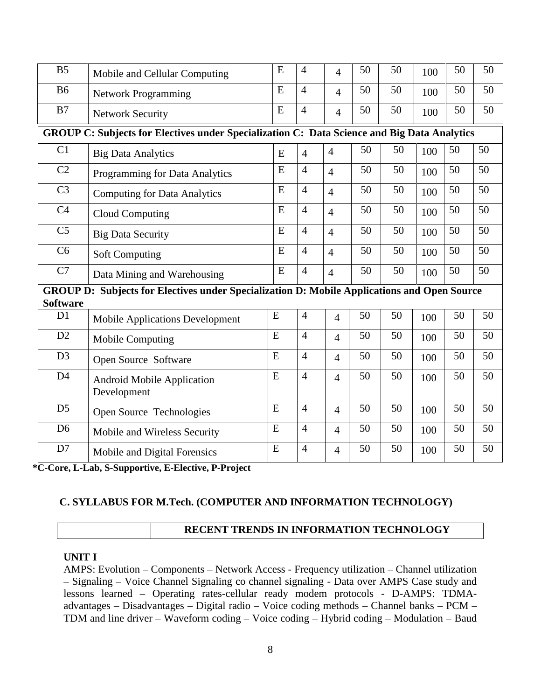| B <sub>5</sub>  | Mobile and Cellular Computing                                                               | E         | $\overline{4}$ | $\overline{4}$ | 50 | 50 | 100 | 50 | 50 |
|-----------------|---------------------------------------------------------------------------------------------|-----------|----------------|----------------|----|----|-----|----|----|
| <b>B6</b>       | <b>Network Programming</b>                                                                  | E         | $\overline{4}$ | $\overline{4}$ | 50 | 50 | 100 | 50 | 50 |
| B7              | <b>Network Security</b>                                                                     | E         | $\overline{4}$ | $\overline{4}$ | 50 | 50 | 100 | 50 | 50 |
|                 | GROUP C: Subjects for Electives under Specialization C: Data Science and Big Data Analytics |           |                |                |    |    |     |    |    |
| C1              | <b>Big Data Analytics</b>                                                                   | E         | $\overline{4}$ | $\overline{4}$ | 50 | 50 | 100 | 50 | 50 |
| C2              | Programming for Data Analytics                                                              | E         | $\overline{4}$ | $\overline{4}$ | 50 | 50 | 100 | 50 | 50 |
| C <sub>3</sub>  | <b>Computing for Data Analytics</b>                                                         | E         | $\overline{4}$ | $\overline{4}$ | 50 | 50 | 100 | 50 | 50 |
| C <sub>4</sub>  | <b>Cloud Computing</b>                                                                      | E         | $\overline{4}$ | $\overline{4}$ | 50 | 50 | 100 | 50 | 50 |
| C <sub>5</sub>  | <b>Big Data Security</b>                                                                    | ${\bf E}$ | $\overline{4}$ | $\overline{4}$ | 50 | 50 | 100 | 50 | 50 |
| C6              | <b>Soft Computing</b>                                                                       | E         | $\overline{4}$ | $\overline{4}$ | 50 | 50 | 100 | 50 | 50 |
| C7              | Data Mining and Warehousing                                                                 | E         | $\overline{4}$ | $\overline{4}$ | 50 | 50 | 100 | 50 | 50 |
| <b>Software</b> | GROUP D: Subjects for Electives under Specialization D: Mobile Applications and Open Source |           |                |                |    |    |     |    |    |
| D1              | <b>Mobile Applications Development</b>                                                      | E         | $\overline{4}$ | $\overline{4}$ | 50 | 50 | 100 | 50 | 50 |
| D2              | <b>Mobile Computing</b>                                                                     | E         | $\overline{4}$ | 4              | 50 | 50 | 100 | 50 | 50 |
| D <sub>3</sub>  | Open Source Software                                                                        | E         | $\overline{4}$ | 4              | 50 | 50 | 100 | 50 | 50 |
| D <sub>4</sub>  | <b>Android Mobile Application</b><br>Development                                            | E         | $\overline{4}$ | 4              | 50 | 50 | 100 | 50 | 50 |
| D <sub>5</sub>  | Open Source Technologies                                                                    | E         | $\overline{4}$ | 4              | 50 | 50 | 100 | 50 | 50 |
| D <sub>6</sub>  | Mobile and Wireless Security                                                                | E         | $\overline{4}$ | 4              | 50 | 50 | 100 | 50 | 50 |
| D7              | Mobile and Digital Forensics                                                                | E         | $\overline{4}$ | 4              | 50 | 50 | 100 | 50 | 50 |
|                 |                                                                                             |           |                |                |    |    |     |    |    |

**\*C-Core, L-Lab, S-Supportive, E-Elective, P-Project**

#### **C. SYLLABUS FOR M.Tech. (COMPUTER AND INFORMATION TECHNOLOGY)**

# **RECENT TRENDS IN INFORMATION TECHNOLOGY**

#### **UNIT I**

AMPS: Evolution – Components – Network Access - Frequency utilization – Channel utilization – Signaling – Voice Channel Signaling co channel signaling - Data over AMPS Case study and lessons learned – Operating rates-cellular ready modem protocols - D-AMPS: TDMA advantages – Disadvantages – Digital radio – Voice coding methods – Channel banks – PCM – TDM and line driver – Waveform coding – Voice coding – Hybrid coding – Modulation – Baud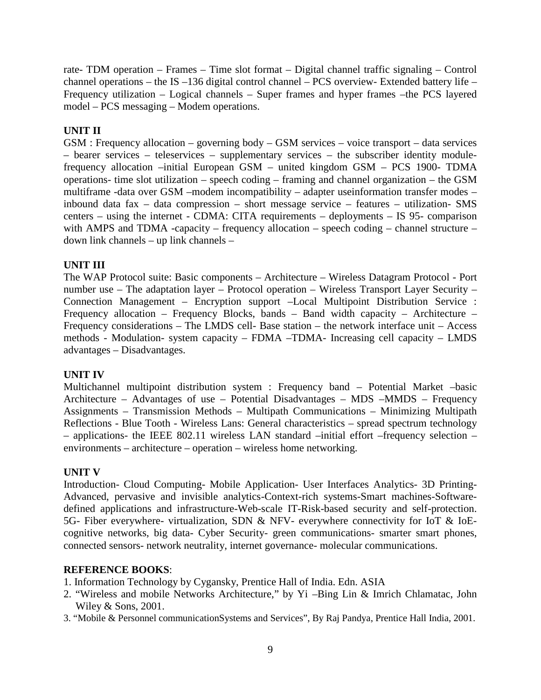rate- TDM operation – Frames – Time slot format – Digital channel traffic signaling – Control channel operations – the IS –136 digital control channel – PCS overview- Extended battery life – Frequency utilization – Logical channels – Super frames and hyper frames –the PCS layered model – PCS messaging – Modem operations.

### **UNIT II**

GSM : Frequency allocation – governing body – GSM services – voice transport – data services – bearer services – teleservices – supplementary services – the subscriber identity modulefrequency allocation –initial European GSM – united kingdom GSM – PCS 1900- TDMA operations- time slot utilization – speech coding – framing and channel organization – the GSM multiframe -data over GSM –modem incompatibility – adapter useinformation transfer modes – inbound data fax – data compression – short message service – features – utilization- SMS centers – using the internet - CDMA: CITA requirements – deployments – IS 95- comparison with AMPS and TDMA -capacity – frequency allocation – speech coding – channel structure – down link channels – up link channels –

### **UNIT III**

The WAP Protocol suite: Basic components – Architecture – Wireless Datagram Protocol - Port number use – The adaptation layer – Protocol operation – Wireless Transport Layer Security – Connection Management – Encryption support –Local Multipoint Distribution Service : Frequency allocation – Frequency Blocks, bands – Band width capacity – Architecture – Frequency considerations – The LMDS cell- Base station – the network interface unit – Access methods - Modulation- system capacity – FDMA –TDMA- Increasing cell capacity – LMDS advantages – Disadvantages.

#### **UNIT IV**

Multichannel multipoint distribution system : Frequency band – Potential Market –basic Architecture – Advantages of use – Potential Disadvantages – MDS –MMDS – Frequency Assignments – Transmission Methods – Multipath Communications – Minimizing Multipath Reflections - Blue Tooth - Wireless Lans: General characteristics – spread spectrum technology – applications- the IEEE 802.11 wireless LAN standard –initial effort –frequency selection – environments – architecture – operation – wireless home networking.

#### **UNIT V**

Introduction- Cloud Computing- Mobile Application- User Interfaces Analytics- 3D Printing- Advanced, pervasive and invisible analytics-Context-rich systems-Smart machines-Software defined applications and infrastructure-Web-scale IT-Risk-based security and self-protection. 5G- Fiber everywhere- virtualization, SDN & NFV- everywhere connectivity for IoT & IoE cognitive networks, big data- Cyber Security- green communications- smarter smart phones, connected sensors- network neutrality, internet governance- molecular communications.

#### **REFERENCE BOOKS**:

- 1. Information Technology by Cygansky, Prentice Hall of India. Edn. ASIA
- 2. "Wireless and mobile Networks Architecture," by Yi –Bing Lin & Imrich Chlamatac, John Wiley & Sons, 2001.
- 3. "Mobile & Personnel communicationSystems and Services", By Raj Pandya, Prentice Hall India, 2001.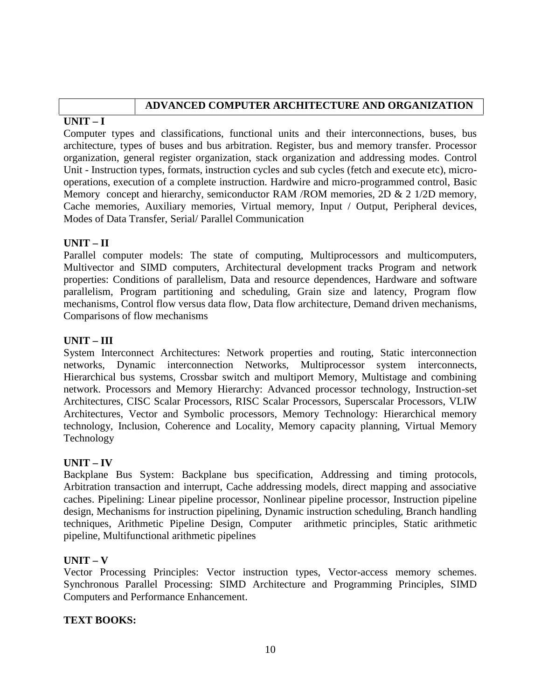# **ADVANCED COMPUTER ARCHITECTURE AND ORGANIZATION**

# **UNIT – I**

Computer types and classifications, functional units and their interconnections, buses, bus architecture, types of buses and bus arbitration. Register, bus and memory transfer. Processor organization, general register organization, stack organization and addressing modes. Control Unit - Instruction types, formats, instruction cycles and sub cycles (fetch and execute etc), micro operations, execution of a complete instruction. Hardwire and micro-programmed control, Basic Memory concept and hierarchy, semiconductor RAM /ROM memories, 2D & 2 1/2D memory, Cache memories, Auxiliary memories, Virtual memory, Input / Output, Peripheral devices, Modes of Data Transfer, Serial/ Parallel Communication

# **UNIT – II**

Parallel computer models: The state of computing, Multiprocessors and multicomputers, Multivector and SIMD computers, Architectural development tracks Program and network properties: Conditions of parallelism, Data and resource dependences, Hardware and software parallelism, Program partitioning and scheduling, Grain size and latency, Program flow mechanisms, Control flow versus data flow, Data flow architecture, Demand driven mechanisms, Comparisons of flow mechanisms

# **UNIT – III**

System Interconnect Architectures: Network properties and routing, Static interconnection networks, Dynamic interconnection Networks, Multiprocessor system interconnects, Hierarchical bus systems, Crossbar switch and multiport Memory, Multistage and combining network. Processors and Memory Hierarchy: Advanced processor technology, Instruction-set Architectures, CISC Scalar Processors, RISC Scalar Processors, Superscalar Processors, VLIW Architectures, Vector and Symbolic processors, Memory Technology: Hierarchical memory technology, Inclusion, Coherence and Locality, Memory capacity planning, Virtual Memory Technology

# **UNIT – IV**

Backplane Bus System: Backplane bus specification, Addressing and timing protocols, Arbitration transaction and interrupt, Cache addressing models, direct mapping and associative caches. Pipelining: Linear pipeline processor, Nonlinear pipeline processor, Instruction pipeline design, Mechanisms for instruction pipelining, Dynamic instruction scheduling, Branch handling techniques, Arithmetic Pipeline Design, Computer arithmetic principles, Static arithmetic pipeline, Multifunctional arithmetic pipelines

### **UNIT – V**

Vector Processing Principles: Vector instruction types, Vector-access memory schemes. Synchronous Parallel Processing: SIMD Architecture and Programming Principles, SIMD Computers and Performance Enhancement.

### **TEXT BOOKS:**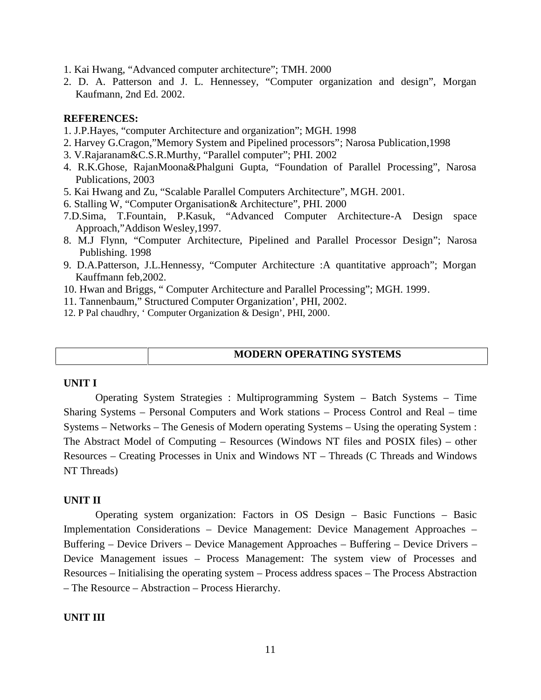1. Kai Hwang, "Advanced computer architecture"; TMH. 2000

2. D. A. Patterson and J. L. Hennessey, "Computer organization and design", Morgan Kaufmann, 2nd Ed. 2002.

#### **REFERENCES:**

- 1. J.P.Hayes, "computer Architecture and organization"; MGH. 1998
- 2. Harvey G.Cragon,"Memory System and Pipelined processors"; Narosa Publication,1998
- 3. V.Rajaranam&C.S.R.Murthy, "Parallel computer"; PHI. 2002
- 4. R.K.Ghose, RajanMoona&Phalguni Gupta, "Foundation of Parallel Processing", Narosa Publications, 2003
- 5. Kai Hwang and Zu, "Scalable Parallel Computers Architecture", MGH. 2001.
- 6. Stalling W, "Computer Organisation& Architecture", PHI. 2000
- 7.D.Sima, T.Fountain, P.Kasuk, "Advanced Computer Architecture-A Design space Approach,"Addison Wesley,1997.
- 8. M.J Flynn, "Computer Architecture, Pipelined and Parallel Processor Design"; Narosa Publishing. 1998
- 9. D.A.Patterson, J.L.Hennessy, "Computer Architecture :A quantitative approach"; Morgan Kauffmann feb,2002.
- 10. Hwan and Briggs, " Computer Architecture and Parallel Processing"; MGH. 1999.
- 11. Tannenbaum," Structured Computer Organization', PHI, 2002.
- 12. P Pal chaudhry, ' Computer Organization & Design', PHI, 2000.

#### **MODERN OPERATING SYSTEMS**

#### **UNIT I**

Operating System Strategies : Multiprogramming System – Batch Systems – Time Sharing Systems – Personal Computers and Work stations – Process Control and Real – time Systems – Networks – The Genesis of Modern operating Systems – Using the operating System : The Abstract Model of Computing – Resources (Windows NT files and POSIX files) – other Resources – Creating Processes in Unix and Windows NT –Threads (C Threads and Windows NT Threads)

#### **UNIT II**

Operating system organization: Factors in OS Design – Basic Functions – Basic Implementation Considerations – Device Management: Device Management Approaches – Buffering – Device Drivers – Device Management Approaches – Buffering – Device Drivers – Device Management issues – Process Management: The system view of Processes and Resources – Initialising the operating system – Process address spaces – The Process Abstraction – The Resource – Abstraction – Process Hierarchy.

#### **UNIT III**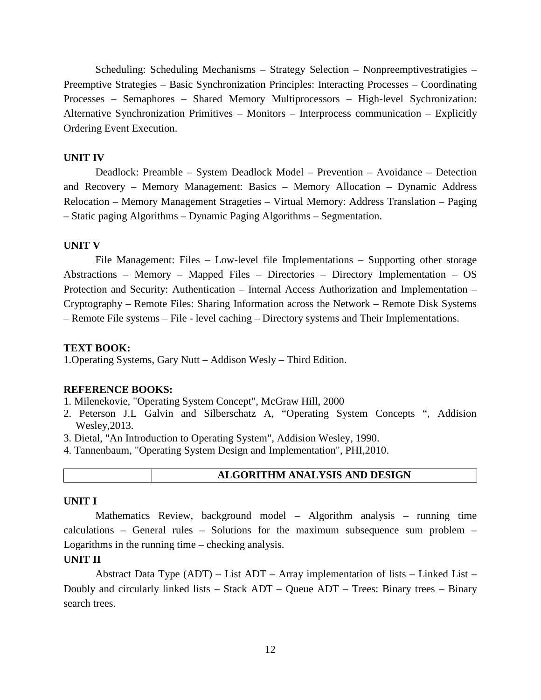Scheduling: Scheduling Mechanisms – Strategy Selection – Nonpreemptivestratigies – Preemptive Strategies – Basic Synchronization Principles: Interacting Processes – Coordinating Processes – Semaphores – Shared Memory Multiprocessors – High-level Sychronization: Alternative Synchronization Primitives – Monitors – Interprocess communication – Explicitly Ordering Event Execution.

#### **UNIT IV**

Deadlock: Preamble – System Deadlock Model – Prevention – Avoidance – Detection and Recovery – Memory Management: Basics – Memory Allocation – Dynamic Address Relocation – Memory Management Strageties – Virtual Memory: Address Translation – Paging – Static paging Algorithms – Dynamic Paging Algorithms – Segmentation.

#### **UNIT V**

File Management: Files – Low-level file Implementations – Supporting other storage Abstractions – Memory – Mapped Files – Directories – Directory Implementation – OS Protection and Security: Authentication – Internal Access Authorization and Implementation – Cryptography – Remote Files: Sharing Information across the Network – Remote Disk Systems – Remote File systems – File - level caching – Directory systems and Their Implementations.

#### **TEXT BOOK:**

1.Operating Systems, Gary Nutt – Addison Wesly – Third Edition.

#### **REFERENCE BOOKS:**

- 1. Milenekovie, "Operating System Concept", McGraw Hill, 2000
- 2. Peterson J.L Galvin and Silberschatz A, "Operating System Concepts ", Addision Wesley,2013.
- 3. Dietal, "An Introduction to Operating System", Addision Wesley, 1990.
- 4. Tannenbaum, "Operating System Design and Implementation", PHI,2010.

#### **UNIT I**

Mathematics Review, background model – Algorithm analysis – running time calculations – General rules – Solutions for the maximum subsequence sum problem – Logarithms in the running time – checking analysis.

#### **UNIT II**

Abstract Data Type  $(ADT)$  – List  $ADT$  – Array implementation of lists – Linked List – Doubly and circularly linked lists – Stack  $ADT - Queue$   $ADT - Trees$ : Binary trees – Binary search trees.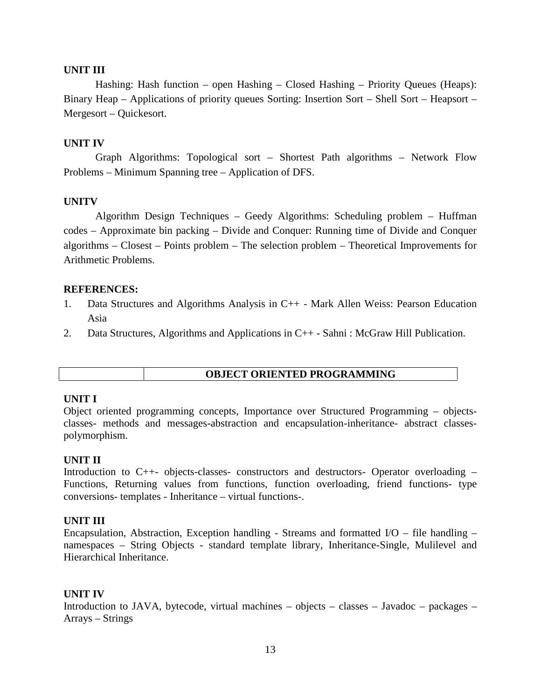#### **UNIT III**

Hashing: Hash function – open Hashing – Closed Hashing – Priority Queues (Heaps): Binary Heap – Applications of priority queues Sorting: Insertion Sort – Shell Sort – Heapsort – Mergesort – Quickesort.

#### **UNIT IV**

Graph Algorithms: Topological sort – Shortest Path algorithms – Network Flow Problems – Minimum Spanning tree – Application of DFS.

#### **UNITV**

Algorithm Design Techniques – Geedy Algorithms: Scheduling problem – Huffman codes – Approximate bin packing – Divide and Conquer: Running time of Divide and Conquer algorithms – Closest – Points problem – The selection problem – Theoretical Improvements for Arithmetic Problems.

#### **REFERENCES:**

- 1. Data Structures and Algorithms Analysis in C++ Mark Allen Weiss: Pearson Education Asia
- 2. Data Structures, Algorithms and Applications in C++ Sahni : McGraw Hill Publication.

#### **OBJECT ORIENTED PROGRAMMING**

#### **UNIT I**

Object oriented programming concepts, Importance over Structured Programming – objects classes- methods and messages-abstraction and encapsulation-inheritance- abstract classes polymorphism.

#### **UNIT II**

Introduction to C++- objects-classes- constructors and destructors- Operator overloading – Functions, Returning values from functions, function overloading, friend functions- type conversions- templates - Inheritance – virtual functions-.

#### **UNIT III**

Encapsulation, Abstraction, Exception handling - Streams and formatted  $I/O$  – file handling – namespaces – String Objects - standard template library, Inheritance-Single, Mulilevel and Hierarchical Inheritance.

#### **UNIT IV**

Introduction to JAVA, bytecode, virtual machines – objects – classes – Javadoc – packages – Arrays – Strings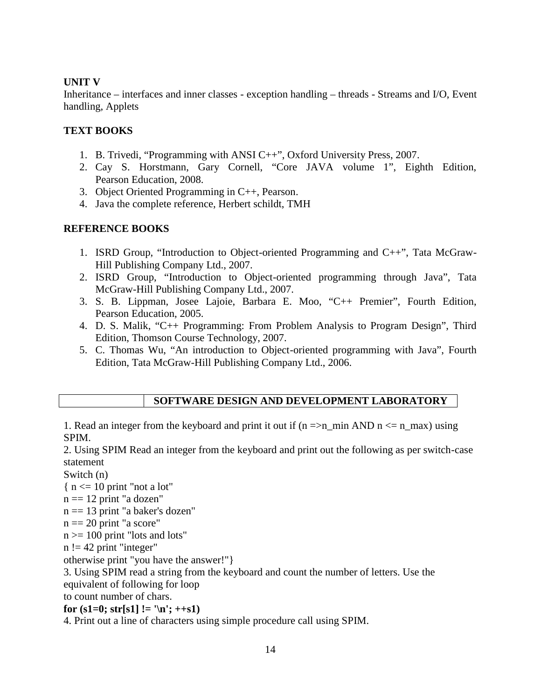#### **UNIT V**

Inheritance – interfaces and inner classes - exception handling – threads - Streams and I/O, Event handling, Applets

#### **TEXT BOOKS**

- 1. B. Trivedi, "Programming with ANSI C++", Oxford University Press, 2007.
- 2. Cay S. Horstmann, Gary Cornell, "Core JAVA volume 1", Eighth Edition, Pearson Education, 2008.
- 3. Object Oriented Programming in C++, Pearson.
- 4. Java the complete reference, Herbert schildt, TMH

### **REFERENCE BOOKS**

- 1. ISRD Group, "Introduction to Object-oriented Programming and C++", Tata McGraw- Hill Publishing Company Ltd., 2007.
- 2. ISRD Group, "Introduction to Object-oriented programming through Java", Tata McGraw-Hill Publishing Company Ltd., 2007.
- 3. S. B. Lippman, Josee Lajoie, Barbara E. Moo, "C++ Premier", Fourth Edition, Pearson Education, 2005.
- 4. D. S. Malik, "C++ Programming: From Problem Analysis to Program Design", Third Edition, Thomson Course Technology, 2007.
- 5. C. Thomas Wu, "An introduction to Object-oriented programming with Java", Fourth Edition, Tata McGraw-Hill Publishing Company Ltd., 2006.

# **SOFTWARE DESIGN AND DEVELOPMENT LABORATORY**

1. Read an integer from the keyboard and print it out if  $(n = > n_{min} AND n \le n_{max})$  using SPIM.

2. Using SPIM Read an integer from the keyboard and print out the following as per switch-case statement

Switch (n)

 $\{ n \leq 10 \text{ print } "not a lot" \}$ 

- $n == 12$  print "a dozen"
- n == 13 print "a baker's dozen"
- $n == 20$  print "a score"
- $n \geq 100$  print "lots and lots"

 $n := 42$  print "integer"

otherwise print "you have the answer!"}

3. Using SPIM read a string from the keyboard and count the number of letters. Use the equivalent of following for loop

to count number of chars.

**for** (s1=0; str[s1] != '\n'; ++s1)

4. Print out a line of characters using simple procedure call using SPIM.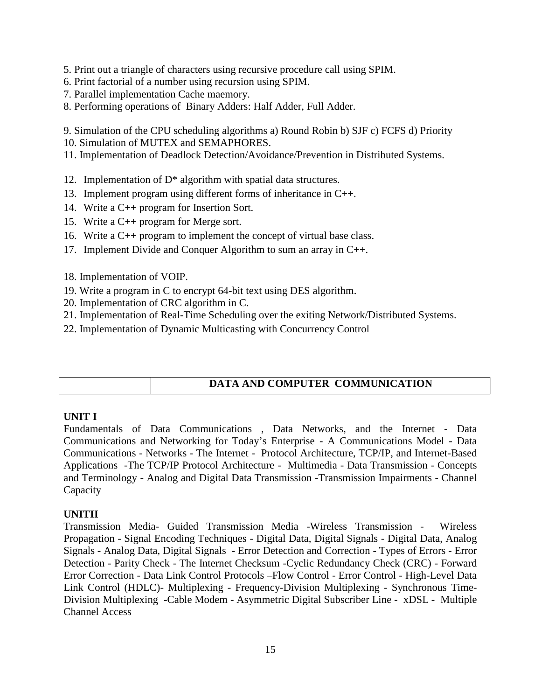5. Print out a triangle of characters using recursive procedure call using SPIM.

- 6. Print factorial of a number using recursion using SPIM.
- 7. Parallel implementation Cache maemory.

8. Performing operations of Binary Adders: Half Adder, Full Adder.

9. Simulation of the CPU scheduling algorithms a) Round Robin b) SJF c) FCFS d) Priority

10. Simulation of MUTEX and SEMAPHORES.

11. Implementation of Deadlock Detection/Avoidance/Prevention in Distributed Systems.

- 12. Implementation of D\* algorithm with spatial data structures.
- 13. Implement program using different forms of inheritance in C++.
- 14. Write a C++ program for Insertion Sort.
- 15. Write a C++ program for Merge sort.
- 16. Write a C++ program to implement the concept of virtual base class.
- 17. Implement Divide and Conquer Algorithm to sum an array in C++.
- 18. Implementation of VOIP.
- 19. Write a program in C to encrypt 64-bit text using DES algorithm.
- 20. Implementation of CRC algorithm in C.
- 21. Implementation of Real-Time Scheduling over the exiting Network/Distributed Systems.
- 22. Implementation of Dynamic Multicasting with Concurrency Control

# **DATA AND COMPUTER COMMUNICATION**

### **UNIT I**

Fundamentals of Data Communications , Data Networks, and the Internet - Data Communications and Networking for Today's Enterprise - A Communications Model - Data Communications - Networks - The Internet - Protocol Architecture, TCP/IP, and Internet-Based Applications -The TCP/IP Protocol Architecture - Multimedia - Data Transmission - Concepts and Terminology - Analog and Digital Data Transmission -Transmission Impairments - Channel Capacity

# **UNITII**

Transmission Media- Guided Transmission Media -Wireless Transmission - Wireless Propagation - Signal Encoding Techniques - Digital Data, Digital Signals - Digital Data, Analog Signals - Analog Data, Digital Signals - Error Detection and Correction - Types of Errors - Error Detection - Parity Check - The Internet Checksum -Cyclic Redundancy Check (CRC) - Forward Error Correction - Data Link Control Protocols –Flow Control - Error Control - High-Level Data Link Control (HDLC)- Multiplexing - Frequency-Division Multiplexing - Synchronous Time- Division Multiplexing -Cable Modem - Asymmetric Digital Subscriber Line - xDSL - Multiple Channel Access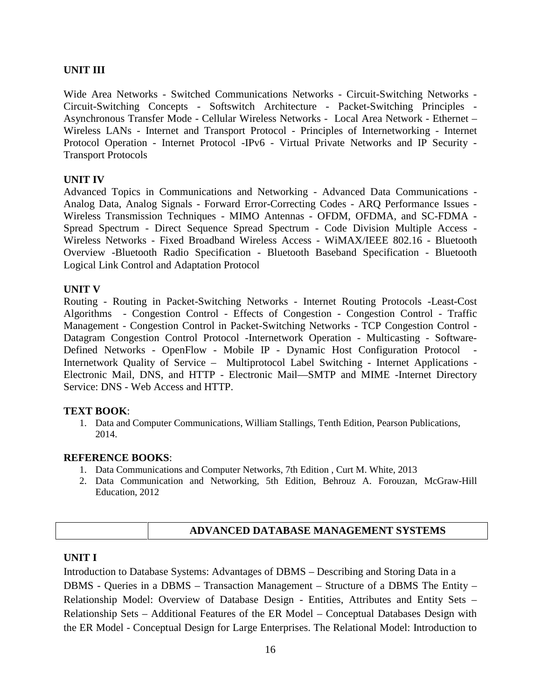#### **UNIT III**

Wide Area Networks - Switched Communications Networks - Circuit-Switching Networks - Circuit-Switching Concepts - Softswitch Architecture - Packet-Switching Principles - Asynchronous Transfer Mode - Cellular Wireless Networks - Local Area Network - Ethernet – Wireless LANs - Internet and Transport Protocol - Principles of Internetworking - Internet Protocol Operation - Internet Protocol -IPv6 - Virtual Private Networks and IP Security - Transport Protocols

#### **UNIT IV**

Advanced Topics in Communications and Networking - Advanced Data Communications - Analog Data, Analog Signals - Forward Error-Correcting Codes - ARQ Performance Issues - Wireless Transmission Techniques - MIMO Antennas - OFDM, OFDMA, and SC-FDMA - Spread Spectrum - Direct Sequence Spread Spectrum - Code Division Multiple Access - Wireless Networks - Fixed Broadband Wireless Access - WiMAX/IEEE 802.16 - Bluetooth Overview -Bluetooth Radio Specification - Bluetooth Baseband Specification - Bluetooth Logical Link Control and Adaptation Protocol

#### **UNIT V**

Routing - Routing in Packet-Switching Networks - Internet Routing Protocols -Least-Cost Algorithms - Congestion Control - Effects of Congestion - Congestion Control - Traffic Management - Congestion Control in Packet-Switching Networks - TCP Congestion Control - Datagram Congestion Control Protocol -Internetwork Operation - Multicasting - Software- Defined Networks - OpenFlow - Mobile IP - Dynamic Host Configuration Protocol - Internetwork Quality of Service – Multiprotocol Label Switching - Internet Applications - Electronic Mail, DNS, and HTTP - Electronic Mail—SMTP and MIME -Internet Directory Service: DNS - Web Access and HTTP.

#### **TEXT BOOK**:

1. Data and Computer Communications, William Stallings, Tenth Edition, Pearson Publications, 2014.

#### **REFERENCE BOOKS**:

- 1. Data Communications and Computer Networks, 7th Edition , Curt M. White, 2013
- 2. Data Communication and Networking, 5th Edition, Behrouz A. Forouzan, McGraw-Hill Education, 2012

#### **ADVANCED DATABASE MANAGEMENT SYSTEMS**

#### **UNIT I**

Introduction to Database Systems: Advantages of DBMS – Describing and Storing Data in a DBMS - Queries in a DBMS – Transaction Management – Structure of a DBMS The Entity – Relationship Model: Overview of Database Design - Entities, Attributes and Entity Sets – Relationship Sets – Additional Features of the ER Model – Conceptual Databases Design with the ER Model - Conceptual Design for Large Enterprises. The Relational Model: Introduction to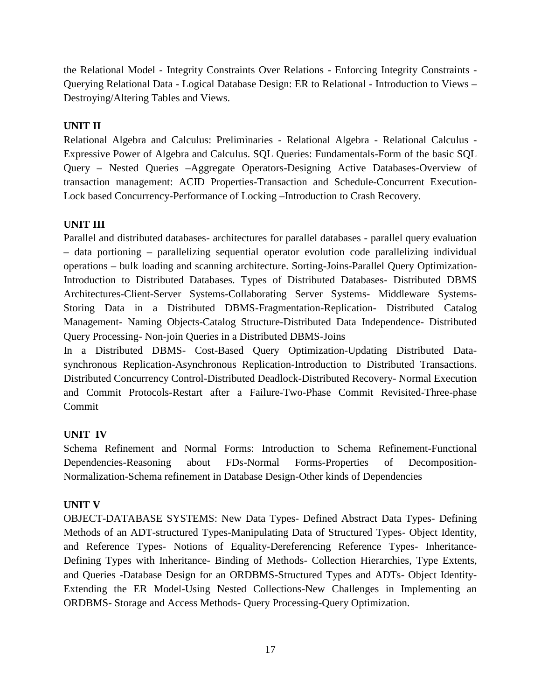the Relational Model - Integrity Constraints Over Relations - Enforcing Integrity Constraints - Querying Relational Data - Logical Database Design: ER to Relational - Introduction to Views – Destroying/Altering Tables and Views.

### **UNIT II**

Relational Algebra and Calculus: Preliminaries - Relational Algebra - Relational Calculus -Expressive Power of Algebra and Calculus. SQL Queries: Fundamentals-Form of the basic SQL Query – Nested Queries –Aggregate Operators-Designing Active Databases-Overview of transaction management: ACID Properties-Transaction and Schedule-Concurrent Execution- Lock based Concurrency-Performance of Locking –Introduction to Crash Recovery.

# **UNIT III**

Parallel and distributed databases- architectures for parallel databases - parallel query evaluation – data portioning – parallelizing sequential operator evolution code parallelizing individual operations – bulk loading and scanning architecture. Sorting-Joins-Parallel Query Optimization-Introduction to Distributed Databases. Types of Distributed Databases- Distributed DBMS Architectures-Client-Server Systems-Collaborating Server Systems- Middleware Systems- Storing Data in a Distributed DBMS-Fragmentation-Replication- Distributed Catalog Management- Naming Objects-Catalog Structure-Distributed Data Independence- Distributed Query Processing- Non-join Queries in a Distributed DBMS-Joins

In a Distributed DBMS- Cost-Based Query Optimization-Updating Distributed Data synchronous Replication-Asynchronous Replication-Introduction to Distributed Transactions. Distributed Concurrency Control-Distributed Deadlock-Distributed Recovery- Normal Execution and Commit Protocols-Restart after a Failure-Two-Phase Commit Revisited-Three-phase Commit

# **UNIT IV**

Schema Refinement and Normal Forms: Introduction to Schema Refinement-Functional Dependencies-Reasoning about FDs-Normal Forms-Properties of Decomposition- Normalization-Schema refinement in Database Design-Other kinds of Dependencies

### **UNIT V**

OBJECT-DATABASE SYSTEMS: New Data Types- Defined Abstract Data Types- Defining Methods of an ADT-structured Types-Manipulating Data of Structured Types- Object Identity, and Reference Types- Notions of Equality-Dereferencing Reference Types- Inheritance- Defining Types with Inheritance- Binding of Methods- Collection Hierarchies, Type Extents, and Queries -Database Design for an ORDBMS-Structured Types and ADTs- Object Identity- Extending the ER Model-Using Nested Collections-New Challenges in Implementing an ORDBMS- Storage and Access Methods- Query Processing-Query Optimization.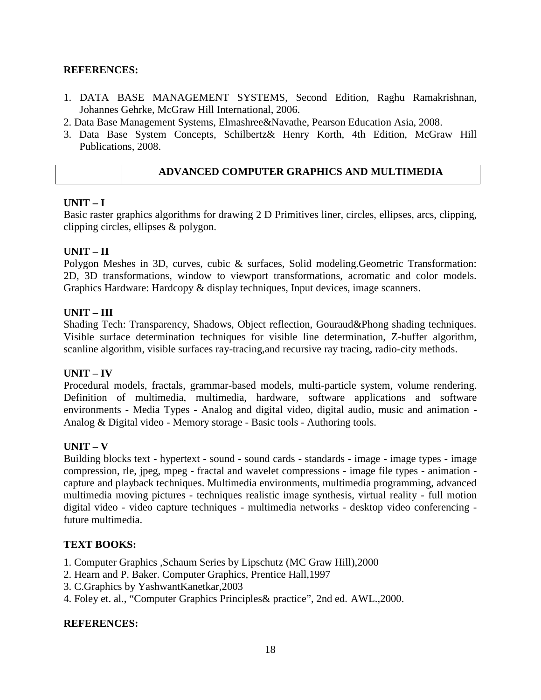#### **REFERENCES:**

- 1. DATA BASE MANAGEMENT SYSTEMS, Second Edition, Raghu Ramakrishnan, Johannes Gehrke, McGraw Hill International, 2006.
- 2. Data Base Management Systems, Elmashree&Navathe, Pearson Education Asia, 2008.
- 3. Data Base System Concepts, Schilbertz& Henry Korth, 4th Edition, McGraw Hill Publications, 2008.

#### **ADVANCED COMPUTER GRAPHICS AND MULTIMEDIA**

#### **UNIT – I**

Basic raster graphics algorithms for drawing 2 D Primitives liner, circles, ellipses, arcs, clipping, clipping circles, ellipses & polygon.

#### **UNIT – II**

Polygon Meshes in 3D, curves, cubic & surfaces, Solid modeling.Geometric Transformation: 2D, 3D transformations, window to viewport transformations, acromatic and color models. Graphics Hardware: Hardcopy & display techniques, Input devices, image scanners.

#### **UNIT – III**

Shading Tech: Transparency, Shadows, Object reflection, Gouraud&Phong shading techniques. Visible surface determination techniques for visible line determination, Z-buffer algorithm, scanline algorithm, visible surfaces ray-tracing,and recursive ray tracing, radio-city methods.

#### **UNIT – IV**

Procedural models, fractals, grammar-based models, multi-particle system, volume rendering. Definition of multimedia, multimedia, hardware, software applications and software environments - Media Types - Analog and digital video, digital audio, music and animation - Analog & Digital video - Memory storage - Basic tools - Authoring tools.

#### **UNIT – V**

Building blocks text - hypertext - sound - sound cards - standards - image - image types - image compression, rle, jpeg, mpeg - fractal and wavelet compressions - image file types - animation capture and playback techniques. Multimedia environments, multimedia programming, advanced multimedia moving pictures - techniques realistic image synthesis, virtual reality - full motion digital video - video capture techniques - multimedia networks - desktop video conferencing future multimedia.

#### **TEXT BOOKS:**

- 1. Computer Graphics ,Schaum Series by Lipschutz (MC Graw Hill),2000
- 2. Hearn and P. Baker. Computer Graphics, Prentice Hall,1997
- 3. C.Graphics by YashwantKanetkar,2003
- 4. Foley et. al., "Computer Graphics Principles& practice", 2nd ed. AWL.,2000.

#### **REFERENCES:**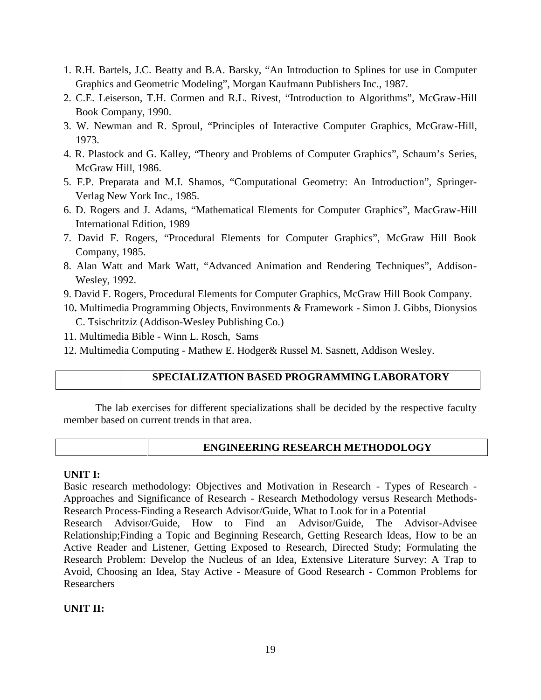- 1. R.H. Bartels, J.C. Beatty and B.A. Barsky, "An Introduction to Splines for use in Computer Graphics and Geometric Modeling", Morgan Kaufmann Publishers Inc., 1987.
- 2. C.E. Leiserson, T.H. Cormen and R.L. Rivest, "Introduction to Algorithms", McGraw-Hill Book Company, 1990.
- 3. W. Newman and R. Sproul, "Principles of Interactive Computer Graphics, McGraw-Hill, 1973.
- 4. R. Plastock and G. Kalley, "Theory and Problems of Computer Graphics", Schaum's Series, McGraw Hill, 1986.
- 5. F.P. Preparata and M.I. Shamos, "Computational Geometry: An Introduction", Springer- Verlag New York Inc., 1985.
- 6. D. Rogers and J. Adams, "Mathematical Elements for Computer Graphics", MacGraw-Hill International Edition, 1989
- 7. David F. Rogers, "Procedural Elements for Computer Graphics", McGraw Hill Book Company, 1985.
- 8. Alan Watt and Mark Watt, "Advanced Animation and Rendering Techniques", Addison- Wesley, 1992.
- 9. David F. Rogers, Procedural Elements for Computer Graphics, McGraw Hill Book Company.
- 10**.** Multimedia Programming Objects, Environments & Framework Simon J. Gibbs, Dionysios C. Tsischritziz (Addison-Wesley Publishing Co.)
- 11. Multimedia Bible Winn L. Rosch, Sams
- 12. Multimedia Computing Mathew E. Hodger& Russel M. Sasnett, Addison Wesley.

### **SPECIALIZATION BASED PROGRAMMING LABORATORY**

The lab exercises for different specializations shall be decided by the respective faculty member based on current trends in that area.

### **ENGINEERING RESEARCH METHODOLOGY**

#### **UNIT I:**

Basic research methodology: Objectives and Motivation in Research - Types of Research - Approaches and Significance of Research - Research Methodology versus Research Methods- Research Process-Finding a Research Advisor/Guide, What to Look for in a Potential

Research Advisor/Guide, How to Find an Advisor/Guide, The Advisor-Advisee Relationship;Finding a Topic and Beginning Research, Getting Research Ideas, How to be an Active Reader and Listener, Getting Exposed to Research, Directed Study; Formulating the Research Problem: Develop the Nucleus of an Idea, Extensive Literature Survey: A Trap to Avoid, Choosing an Idea, Stay Active - Measure of Good Research - Common Problems for Researchers

### **UNIT II:**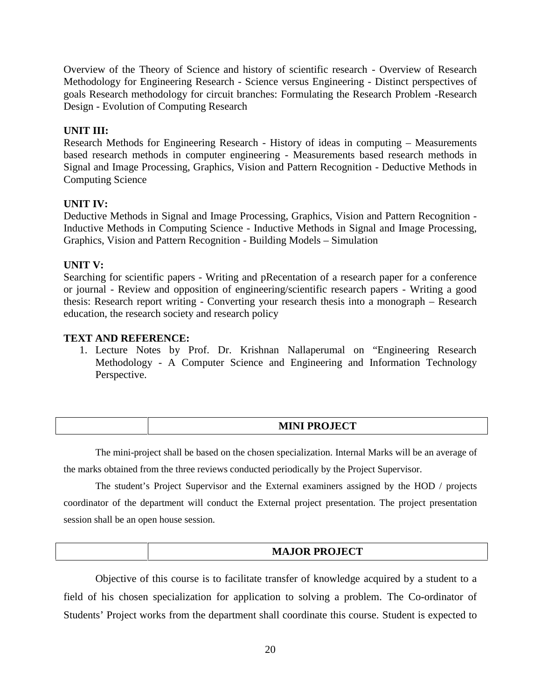Overview of the Theory of Science and history of scientific research - Overview of Research Methodology for Engineering Research - Science versus Engineering - Distinct perspectives of goals Research methodology for circuit branches: Formulating the Research Problem -Research Design - Evolution of Computing Research

#### **UNIT III:**

Research Methods for Engineering Research - History of ideas in computing – Measurements based research methods in computer engineering - Measurements based research methods in Signal and Image Processing, Graphics, Vision and Pattern Recognition - Deductive Methods in Computing Science

#### **UNIT IV:**

Deductive Methods in Signal and Image Processing, Graphics, Vision and Pattern Recognition - Inductive Methods in Computing Science - Inductive Methods in Signal and Image Processing, Graphics, Vision and Pattern Recognition - Building Models – Simulation

#### **UNIT V:**

Searching for scientific papers - Writing and pRecentation of a research paper for a conference or journal - Review and opposition of engineering/scientific research papers - Writing a good thesis: Research report writing - Converting your research thesis into a monograph – Research education, the research society and research policy

#### **TEXT AND REFERENCE:**

1. Lecture Notes by Prof. Dr. Krishnan Nallaperumal on "Engineering Research Methodology - A Computer Science and Engineering and Information Technology Perspective.

| MINI DDAIRAT<br><b>EXECUTE LA LA LITTAL</b> |  |
|---------------------------------------------|--|
|                                             |  |

The mini-project shall be based on the chosen specialization. Internal Marks will be an average of the marks obtained from the three reviews conducted periodically by the Project Supervisor.

The student's Project Supervisor and the External examiners assigned by the HOD / projects coordinator of the department will conduct the External project presentation. The project presentation session shall be an open house session.

Objective of this course is to facilitate transfer of knowledge acquired by a student to a field of his chosen specialization for application to solving a problem. The Co-ordinator of Students' Project works from the department shall coordinate this course. Student is expected to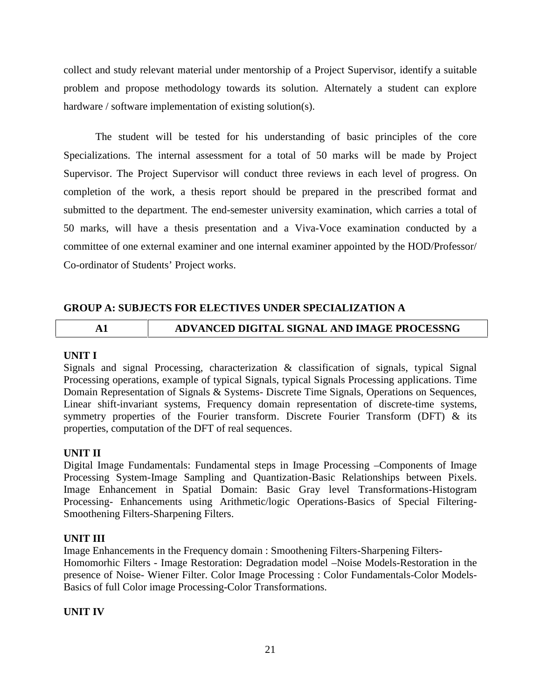collect and study relevant material under mentorship of a Project Supervisor, identify a suitable problem and propose methodology towards its solution. Alternately a student can explore hardware / software implementation of existing solution(s).

The student will be tested for his understanding of basic principles of the core Specializations. The internal assessment for a total of 50 marks will be made by Project Supervisor. The Project Supervisor will conduct three reviews in each level of progress. On completion of the work, a thesis report should be prepared in the prescribed format and submitted to the department. The end-semester university examination, which carries a total of 50 marks, will have a thesis presentation and a Viva-Voce examination conducted by a committee of one external examiner and one internal examiner appointed by the HOD/Professor/ Co-ordinator of Students' Project works.

# **GROUP A: SUBJECTS FOR ELECTIVES UNDER SPECIALIZATION A**

# **A1 ADVANCED DIGITAL SIGNAL AND IMAGE PROCESSNG**

#### **UNIT I**

Signals and signal Processing, characterization & classification of signals, typical Signal Processing operations, example of typical Signals, typical Signals Processing applications. Time Domain Representation of Signals & Systems- Discrete Time Signals, Operations on Sequences, Linear shift-invariant systems, Frequency domain representation of discrete-time systems, symmetry properties of the Fourier transform. Discrete Fourier Transform (DFT) & its properties, computation of the DFT of real sequences.

### **UNIT II**

Digital Image Fundamentals: Fundamental steps in Image Processing –Components of Image Processing System-Image Sampling and Quantization-Basic Relationships between Pixels. Image Enhancement in Spatial Domain: Basic Gray level Transformations-Histogram Processing- Enhancements using Arithmetic/logic Operations-Basics of Special Filtering- Smoothening Filters-Sharpening Filters.

### **UNIT III**

Image Enhancements in the Frequency domain : Smoothening Filters-Sharpening Filters- Homomorhic Filters - Image Restoration: Degradation model –Noise Models-Restoration in the presence of Noise- Wiener Filter. Color Image Processing : Color Fundamentals-Color Models- Basics of full Color image Processing-Color Transformations.

### **UNIT IV**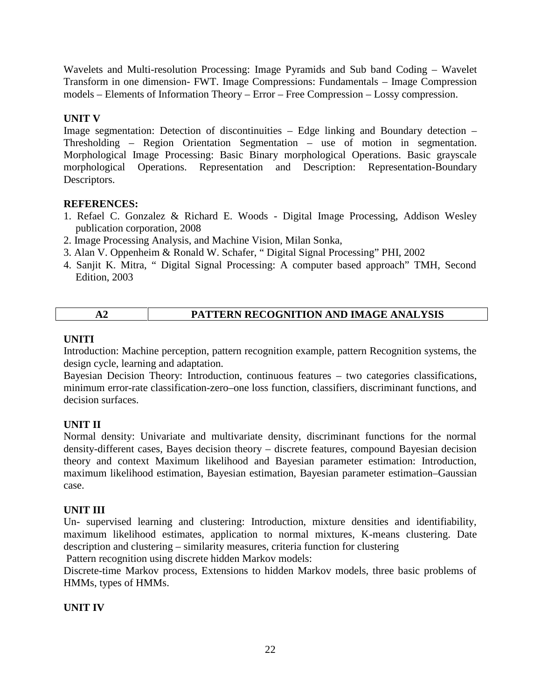Wavelets and Multi-resolution Processing: Image Pyramids and Sub band Coding – Wavelet Transform in one dimension- FWT. Image Compressions: Fundamentals – Image Compression models – Elements of Information Theory – Error – Free Compression – Lossy compression.

# **UNIT V**

Image segmentation: Detection of discontinuities – Edge linking and Boundary detection – Thresholding – Region Orientation Segmentation – use of motion in segmentation. Morphological Image Processing: Basic Binary morphological Operations. Basic grayscale morphological Operations. Representation and Description: Representation-Boundary Descriptors.

### **REFERENCES:**

- 1. Refael C. Gonzalez & Richard E. Woods Digital Image Processing, Addison Wesley publication corporation, 2008
- 2. Image Processing Analysis, and Machine Vision, Milan Sonka,
- 3. Alan V. Oppenheim & Ronald W. Schafer, " Digital Signal Processing" PHI, 2002
- 4. Sanjit K. Mitra, " Digital Signal Processing: A computer based approach" TMH, Second Edition, 2003

|  | PATTERN RECOGNITION AND IMAGE ANALYSIS |
|--|----------------------------------------|
|--|----------------------------------------|

### **UNITI**

Introduction: Machine perception, pattern recognition example, pattern Recognition systems, the design cycle, learning and adaptation.

Bayesian Decision Theory: Introduction, continuous features – two categories classifications, minimum error-rate classification-zero–one loss function, classifiers, discriminant functions, and decision surfaces.

### **UNIT II**

Normal density: Univariate and multivariate density, discriminant functions for the normal density-different cases, Bayes decision theory – discrete features, compound Bayesian decision theory and context Maximum likelihood and Bayesian parameter estimation: Introduction, maximum likelihood estimation, Bayesian estimation, Bayesian parameter estimation–Gaussian case.

### **UNIT III**

Un- supervised learning and clustering: Introduction, mixture densities and identifiability, maximum likelihood estimates, application to normal mixtures, K-means clustering. Date description and clustering – similarity measures, criteria function for clustering

Pattern recognition using discrete hidden Markov models:

Discrete-time Markov process, Extensions to hidden Markov models, three basic problems of HMMs, types of HMMs.

### **UNIT IV**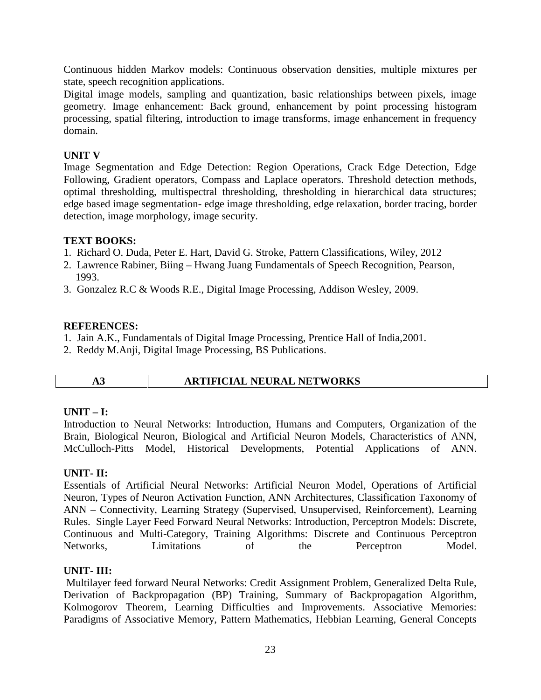Continuous hidden Markov models: Continuous observation densities, multiple mixtures per state, speech recognition applications.

Digital image models, sampling and quantization, basic relationships between pixels, image geometry. Image enhancement: Back ground, enhancement by point processing histogram processing, spatial filtering, introduction to image transforms, image enhancement in frequency domain.

#### **UNIT V**

Image Segmentation and Edge Detection: Region Operations, Crack Edge Detection, Edge Following, Gradient operators, Compass and Laplace operators. Threshold detection methods, optimal thresholding, multispectral thresholding, thresholding in hierarchical data structures; edge based image segmentation- edge image thresholding, edge relaxation, border tracing, border detection, image morphology, image security.

#### **TEXT BOOKS:**

- 1. Richard O. Duda, Peter E. Hart, David G. Stroke, Pattern Classifications, Wiley, 2012
- 2. Lawrence Rabiner, Biing Hwang Juang Fundamentals of Speech Recognition, Pearson, 1993.
- 3. Gonzalez R.C & Woods R.E., Digital Image Processing, Addison Wesley, 2009.

#### **REFERENCES:**

- 1. Jain A.K., Fundamentals of Digital Image Processing, Prentice Hall of India,2001.
- 2. Reddy M.Anji, Digital Image Processing, BS Publications.

|  | × |
|--|---|

### **A3 ARTIFICIAL NEURAL NETWORKS**

#### **UNIT – I:**

Introduction to Neural Networks: Introduction, Humans and Computers, Organization of the Brain, Biological Neuron, Biological and Artificial Neuron Models, Characteristics of ANN, McCulloch-Pitts Model, Historical Developments, Potential Applications of ANN.

#### **UNIT- II:**

Essentials of Artificial Neural Networks: Artificial Neuron Model, Operations of Artificial Neuron, Types of Neuron Activation Function, ANN Architectures, Classification Taxonomy of ANN – Connectivity, Learning Strategy (Supervised, Unsupervised, Reinforcement), Learning Rules. Single Layer Feed Forward Neural Networks: Introduction, Perceptron Models: Discrete, Continuous and Multi-Category, Training Algorithms: Discrete and Continuous Perceptron Networks, Limitations of the Perceptron Model.

### **UNIT- III:**

Multilayer feed forward Neural Networks: Credit Assignment Problem, Generalized Delta Rule, Derivation of Backpropagation (BP) Training, Summary of Backpropagation Algorithm, Kolmogorov Theorem, Learning Difficulties and Improvements. Associative Memories: Paradigms of Associative Memory, Pattern Mathematics, Hebbian Learning, General Concepts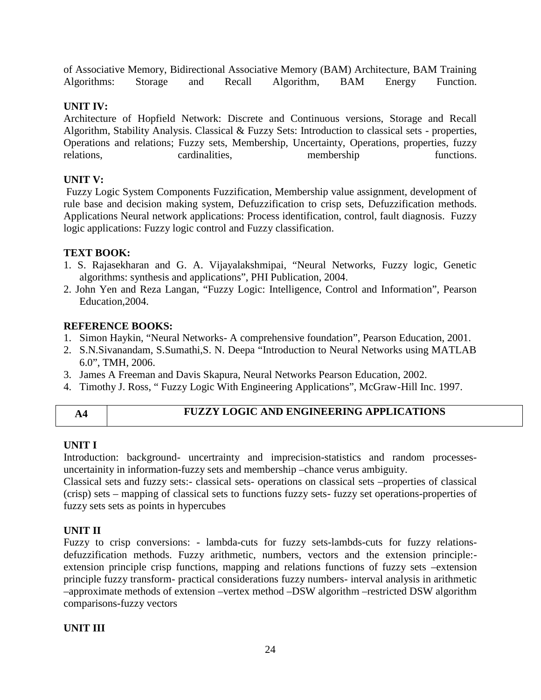of Associative Memory, Bidirectional Associative Memory (BAM) Architecture, BAM Training Algorithms: Storage and Recall Algorithm, BAM Energy Function.

# **UNIT IV:**

Architecture of Hopfield Network: Discrete and Continuous versions, Storage and Recall Algorithm, Stability Analysis. Classical & Fuzzy Sets: Introduction to classical sets - properties, Operations and relations; Fuzzy sets, Membership, Uncertainty, Operations, properties, fuzzy relations, cardinalities, membership functions.

# **UNIT V:**

Fuzzy Logic System Components Fuzzification, Membership value assignment, development of rule base and decision making system, Defuzzification to crisp sets, Defuzzification methods. Applications Neural network applications: Process identification, control, fault diagnosis. Fuzzy logic applications: Fuzzy logic control and Fuzzy classification.

### **TEXT BOOK:**

- 1. S. Rajasekharan and G. A. Vijayalakshmipai, "Neural Networks, Fuzzy logic, Genetic algorithms: synthesis and applications", PHI Publication, 2004.
- 2. John Yen and Reza Langan, "Fuzzy Logic: Intelligence, Control and Information", Pearson Education,2004.

# **REFERENCE BOOKS:**

- 1. Simon Haykin, "Neural Networks- A comprehensive foundation", Pearson Education, 2001.
- 2. S.N.Sivanandam, S.Sumathi,S. N. Deepa "Introduction to Neural Networks using MATLAB 6.0", TMH, 2006.
- 3. James A Freeman and Davis Skapura, Neural Networks Pearson Education, 2002.
- 4. Timothy J. Ross, " Fuzzy Logic With Engineering Applications", McGraw-Hill Inc. 1997.

### **A4 FUZZY LOGIC AND ENGINEERING APPLICATIONS**

# **UNIT I**

Introduction: background- uncertrainty and imprecision-statistics and random processes uncertainity in information-fuzzy sets and membership –chance verus ambiguity.

Classical sets and fuzzy sets:- classical sets- operations on classical sets –properties of classical (crisp) sets – mapping of classical sets to functions fuzzy sets- fuzzy set operations-properties of fuzzy sets sets as points in hypercubes

# **UNIT II**

Fuzzy to crisp conversions: - lambda-cuts for fuzzy sets-lambds-cuts for fuzzy relations defuzzification methods. Fuzzy arithmetic, numbers, vectors and the extension principle: extension principle crisp functions, mapping and relations functions of fuzzy sets –extension principle fuzzy transform- practical considerations fuzzy numbers- interval analysis in arithmetic –approximate methods of extension –vertex method –DSW algorithm –restricted DSW algorithm comparisons-fuzzy vectors

### **UNIT III**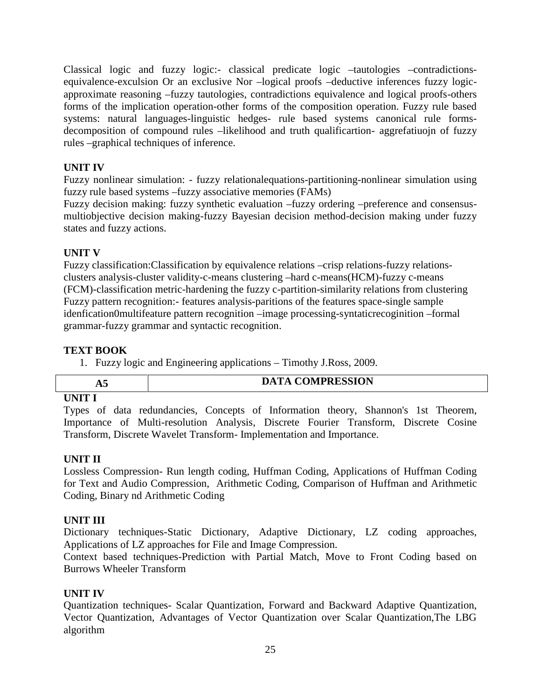Classical logic and fuzzy logic:- classical predicate logic –tautologies –contradictions equivalence-exculsion Or an exclusive Nor –logical proofs –deductive inferences fuzzy logic approximate reasoning –fuzzy tautologies, contradictions equivalence and logical proofs-others forms of the implication operation-other forms of the composition operation. Fuzzy rule based systems: natural languages-linguistic hedges- rule based systems canonical rule forms decomposition of compound rules –likelihood and truth qualificartion- aggrefatiuojn of fuzzy rules –graphical techniques of inference.

# **UNIT IV**

Fuzzy nonlinear simulation: - fuzzy relationalequations-partitioning-nonlinear simulation using fuzzy rule based systems –fuzzy associative memories (FAMs)

Fuzzy decision making: fuzzy synthetic evaluation –fuzzy ordering –preference and consensus multiobjective decision making-fuzzy Bayesian decision method-decision making under fuzzy states and fuzzy actions.

# **UNIT V**

Fuzzy classification:Classification by equivalence relations –crisp relations-fuzzy relations clusters analysis-cluster validity-c-means clustering –hard c-means(HCM)-fuzzy c-means (FCM)-classification metric-hardening the fuzzy c-partition-similarity relations from clustering Fuzzy pattern recognition:- features analysis-paritions of the features space-single sample idenfication0multifeature pattern recognition –image processing-syntaticrecoginition –formal grammar-fuzzy grammar and syntactic recognition.

### **TEXT BOOK**

1. Fuzzy logic and Engineering applications – Timothy J.Ross, 2009.

|      | <b>COMPRESSION</b><br><b>DATA</b><br>$\rightarrow$ |
|------|----------------------------------------------------|
| ⊥ n. |                                                    |
|      | ___                                                |

### **UNIT I**

Types of data redundancies, Concepts of Information theory, Shannon's 1st Theorem, Importance of Multi-resolution Analysis, Discrete Fourier Transform, Discrete Cosine Transform, Discrete Wavelet Transform- Implementation and Importance.

### **UNIT II**

Lossless Compression- Run length coding, Huffman Coding, Applications of Huffman Coding for Text and Audio Compression, Arithmetic Coding, Comparison of Huffman and Arithmetic Coding, Binary nd Arithmetic Coding

### **UNIT III**

Dictionary techniques-Static Dictionary, Adaptive Dictionary, LZ coding approaches, Applications of LZ approaches for File and Image Compression.

Context based techniques-Prediction with Partial Match, Move to Front Coding based on Burrows Wheeler Transform

### **UNIT IV**

Quantization techniques- Scalar Quantization, Forward and Backward Adaptive Quantization, Vector Quantization, Advantages of Vector Quantization over Scalar Quantization,The LBG algorithm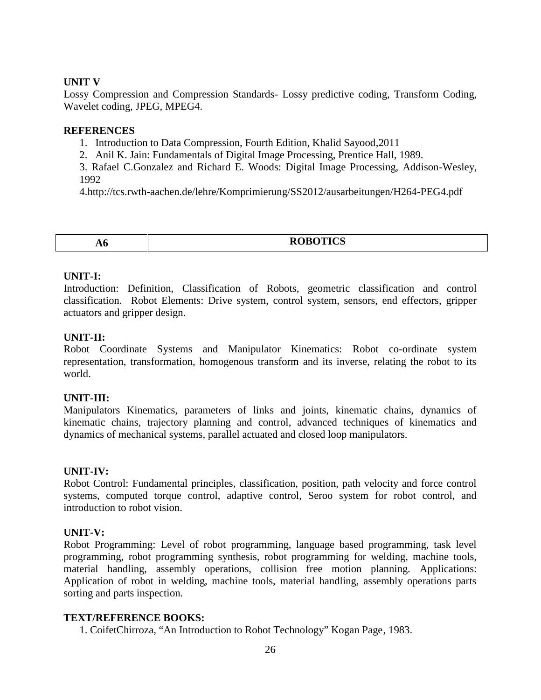#### **UNIT V**

Lossy Compression and Compression Standards- Lossy predictive coding, Transform Coding, Wavelet coding, JPEG, MPEG4.

#### **REFERENCES**

- 1. Introduction to Data Compression, Fourth Edition, Khalid Sayood,2011
- 2. Anil K. Jain: Fundamentals of Digital Image Processing, Prentice Hall, 1989.

3. Rafael C.Gonzalez and Richard E. Woods: Digital Image Processing, Addison-Wesley, 1992

4.http://tcs.rwth-aachen.de/lehre/Komprimierung/SS2012/ausarbeitungen/H264-PEG4.pdf

| ЛV.<br>$\sim$ | <b>ROBOTICS</b><br>v<br><b>WODOTICS</b> |
|---------------|-----------------------------------------|

#### **UNIT-I:**

Introduction: Definition, Classification of Robots, geometric classification and control classification. Robot Elements: Drive system, control system, sensors, end effectors, gripper actuators and gripper design.

#### **UNIT-II:**

Robot Coordinate Systems and Manipulator Kinematics: Robot co-ordinate system representation, transformation, homogenous transform and its inverse, relating the robot to its world.

#### **UNIT-III:**

Manipulators Kinematics, parameters of links and joints, kinematic chains, dynamics of kinematic chains, trajectory planning and control, advanced techniques of kinematics and dynamics of mechanical systems, parallel actuated and closed loop manipulators.

#### **UNIT-IV:**

Robot Control: Fundamental principles, classification, position, path velocity and force control systems, computed torque control, adaptive control, Seroo system for robot control, and introduction to robot vision.

#### **UNIT-V:**

Robot Programming: Level of robot programming, language based programming, task level programming, robot programming synthesis, robot programming for welding, machine tools, material handling, assembly operations, collision free motion planning. Applications: Application of robot in welding, machine tools, material handling, assembly operations parts sorting and parts inspection.

#### **TEXT/REFERENCE BOOKS:**

1. CoifetChirroza, "An Introduction to Robot Technology" Kogan Page, 1983.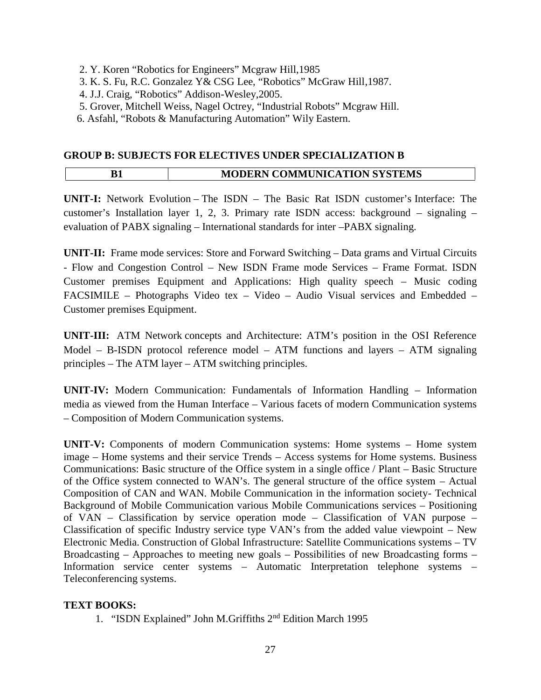- 2. Y. Koren "Robotics for Engineers" Mcgraw Hill,1985
- 3. K. S. Fu, R.C. Gonzalez Y& CSG Lee, "Robotics" McGraw Hill,1987.
- 4. J.J. Craig, "Robotics" Addison-Wesley,2005.
- 5. Grover, Mitchell Weiss, Nagel Octrey, "Industrial Robots" Mcgraw Hill.
- 6. Asfahl, "Robots & Manufacturing Automation" Wily Eastern.

#### **GROUP B: SUBJECTS FOR ELECTIVES UNDER SPECIALIZATION B**

|  | <b>MODERN COMMUNICATION SYSTEMS</b> |
|--|-------------------------------------|
|--|-------------------------------------|

**UNIT-I:** Network Evolution – The ISDN – The Basic Rat ISDN customer's Interface: The customer's Installation layer 1, 2, 3. Primary rate ISDN access: background – signaling – evaluation of PABX signaling – International standards for inter –PABX signaling.

**UNIT-II:** Frame mode services: Store and Forward Switching – Data grams and Virtual Circuits - Flow and Congestion Control – New ISDN Frame mode Services – Frame Format. ISDN Customer premises Equipment and Applications: High quality speech – Music coding FACSIMILE – Photographs Video tex – Video – Audio Visual services and Embedded – Customer premises Equipment.

**UNIT-III:** ATM Network concepts and Architecture: ATM's position in the OSI Reference Model – B-ISDN protocol reference model – ATM functions and layers – ATM signaling principles – The ATM layer – ATM switching principles.

**UNIT-IV:** Modern Communication: Fundamentals of Information Handling – Information media as viewed from the Human Interface – Various facets of modern Communication systems – Composition of Modern Communication systems.

**UNIT-V:** Components of modern Communication systems: Home systems – Home system image – Home systems and their service Trends – Access systems for Home systems. Business Communications: Basic structure of the Office system in a single office / Plant – Basic Structure of the Office system connected to WAN's. The general structure of the office system – Actual Composition of CAN and WAN. Mobile Communication in the information society- Technical Background of Mobile Communication various Mobile Communications services – Positioning of VAN – Classification by service operation mode – Classification of VAN purpose – Classification of specific Industry service type VAN's from the added value viewpoint – New Electronic Media. Construction of Global Infrastructure: Satellite Communications systems – TV Broadcasting – Approaches to meeting new goals – Possibilities of new Broadcasting forms – Information service center systems – Automatic Interpretation telephone systems – Teleconferencing systems.

### **TEXT BOOKS:**

1. "ISDN Explained" John M.Griffiths 2nd Edition March 1995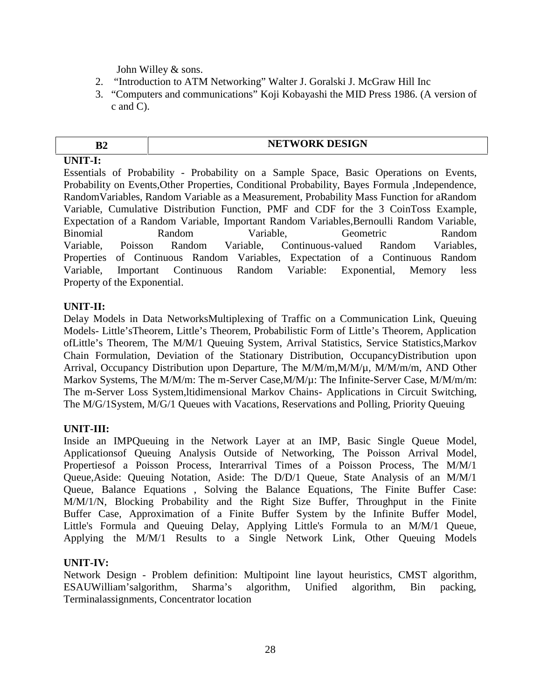John Willey & sons.

- 2. "Introduction to ATM Networking" Walter J. Goralski J. McGraw Hill Inc
- 3. "Computers and communications" Koji Kobayashi the MID Press 1986. (A version of c and C).

# **B2 NETWORK DESIGN**

**UNIT-I:**

Essentials of Probability - Probability on a Sample Space, Basic Operations on Events, Probability on Events,Other Properties, Conditional Probability, Bayes Formula ,Independence, RandomVariables, Random Variable as a Measurement, Probability Mass Function for aRandom Variable, Cumulative Distribution Function, PMF and CDF for the 3 CoinToss Example, Expectation of a Random Variable, Important Random Variables,Bernoulli Random Variable, Binomial Random Variable, Geometric Random Variable, Poisson Random Variable, Continuous-valued Random Variables, Properties of Continuous Random Variables, Expectation of a Continuous Random Variable, Important Continuous Random Variable: Exponential, Memory less Property of the Exponential.

### **UNIT-II:**

Delay Models in Data NetworksMultiplexing of Traffic on a Communication Link, Queuing Models- Little'sTheorem, Little's Theorem, Probabilistic Form of Little's Theorem, Application ofLittle's Theorem, The M/M/1 Queuing System, Arrival Statistics, Service Statistics,Markov Chain Formulation, Deviation of the Stationary Distribution, OccupancyDistribution upon Arrival, Occupancy Distribution upon Departure, The M/M/m,M/M/µ, M/M/m/m, AND Other Markov Systems, The M/M/m: The m-Server Case, M/M/ $\mu$ : The Infinite-Server Case, M/M/m/m: The m-Server Loss System,ltidimensional Markov Chains- Applications in Circuit Switching, The M/G/1System, M/G/1 Queues with Vacations, Reservations and Polling, Priority Queuing

### **UNIT-III:**

Inside an IMPQueuing in the Network Layer at an IMP, Basic Single Queue Model, Applicationsof Queuing Analysis Outside of Networking, The Poisson Arrival Model, Propertiesof a Poisson Process, Interarrival Times of a Poisson Process, The M/M/1 Queue,Aside: Queuing Notation, Aside: The D/D/1 Queue, State Analysis of an M/M/1 Queue, Balance Equations , Solving the Balance Equations, The Finite Buffer Case: M/M/1/N, Blocking Probability and the Right Size Buffer, Throughput in the Finite Buffer Case, Approximation of a Finite Buffer System by the Infinite Buffer Model, Little's Formula and Queuing Delay, Applying Little's Formula to an M/M/1 Queue, Applying the M/M/1 Results to a Single Network Link, Other Queuing Models

### **UNIT-IV:**

Network Design - Problem definition: Multipoint line layout heuristics, CMST algorithm, ESAUWilliam'salgorithm, Sharma's algorithm, Unified algorithm, Bin packing, Terminalassignments, Concentrator location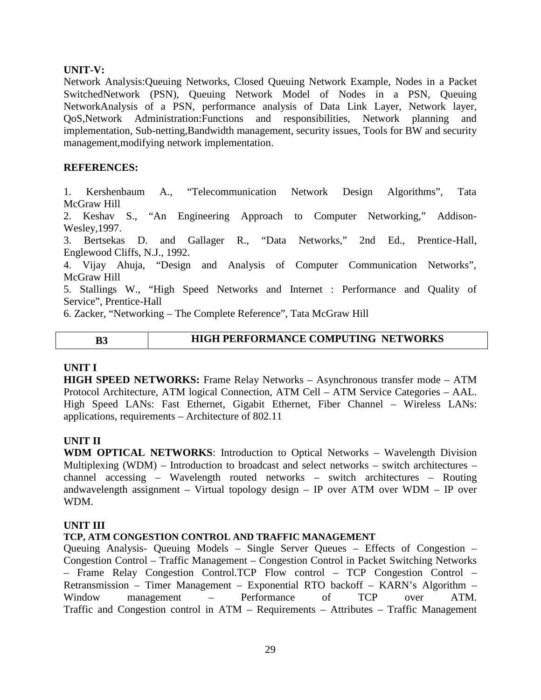#### **UNIT-V:**

Network Analysis:Queuing Networks, Closed Queuing Network Example, Nodes in a Packet SwitchedNetwork (PSN), Queuing Network Model of Nodes in a PSN, Queuing NetworkAnalysis of a PSN, performance analysis of Data Link Layer, Network layer, QoS,Network Administration:Functions and responsibilities, Network planning and implementation, Sub-netting,Bandwidth management, security issues, Tools for BW and security management,modifying network implementation.

#### **REFERENCES:**

1. Kershenbaum A., "Telecommunication Network Design Algorithms", Tata McGraw Hill

2. Keshav S., "An Engineering Approach to Computer Networking," Addison- Wesley,1997.

3. Bertsekas D. and Gallager R., "Data Networks," 2nd Ed., Prentice-Hall, Englewood Cliffs, N.J., 1992.

4. Vijay Ahuja, "Design and Analysis of Computer Communication Networks", McGraw Hill

5. Stallings W., "High Speed Networks and Internet : Performance and Quality of Service", Prentice-Hall

6. Zacker, "Networking – The Complete Reference", Tata McGraw Hill

$$
\mathbf{B}^2
$$

#### **B3 HIGH PERFORMANCE COMPUTING NETWORKS**

#### **UNIT I**

**HIGH SPEED NETWORKS:** Frame Relay Networks – Asynchronous transfer mode – ATM Protocol Architecture, ATM logical Connection, ATM Cell – ATM Service Categories – AAL. High Speed LANs: Fast Ethernet, Gigabit Ethernet, Fiber Channel – Wireless LANs: applications, requirements – Architecture of 802.11

#### **UNIT II**

**WDM OPTICAL NETWORKS**: Introduction to Optical Networks – Wavelength Division Multiplexing (WDM) – Introduction to broadcast and select networks – switch architectures – channel accessing – Wavelength routed networks – switch architectures – Routing andwavelength assignment – Virtual topology design – IP over ATM over WDM – IP over WDM.

#### **UNIT III**

#### **TCP, ATM CONGESTION CONTROL AND TRAFFIC MANAGEMENT**

Queuing Analysis- Queuing Models – Single Server Queues – Effects of Congestion – Congestion Control – Traffic Management – Congestion Control in Packet Switching Networks – Frame Relay Congestion Control.TCP Flow control – TCP Congestion Control – Retransmission – Timer Management – Exponential RTO backoff – KARN's Algorithm – Window management – Performance of TCP over ATM. Traffic and Congestion control in ATM – Requirements – Attributes – Traffic Management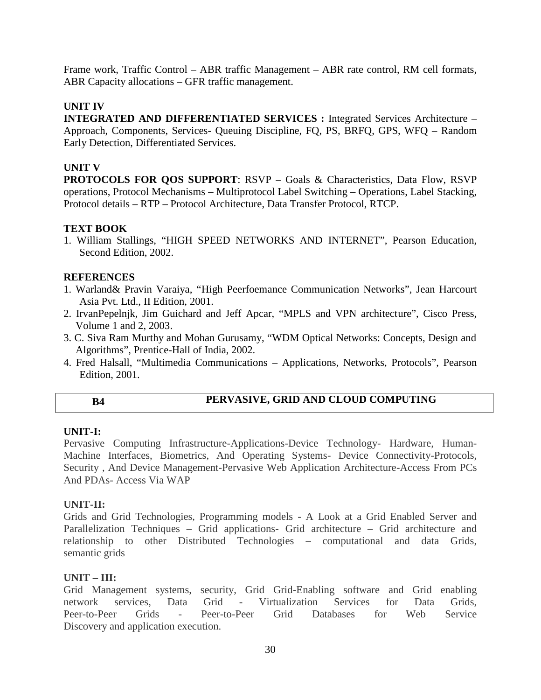Frame work, Traffic Control – ABR traffic Management – ABR rate control, RM cell formats, ABR Capacity allocations – GFR traffic management.

#### **UNIT IV**

**INTEGRATED AND DIFFERENTIATED SERVICES :** Integrated Services Architecture – Approach, Components, Services- Queuing Discipline, FQ, PS, BRFQ, GPS, WFQ – Random Early Detection, Differentiated Services.

#### **UNIT V**

**PROTOCOLS FOR QOS SUPPORT**: RSVP – Goals & Characteristics, Data Flow, RSVP operations, Protocol Mechanisms – Multiprotocol Label Switching – Operations, Label Stacking, Protocol details – RTP – Protocol Architecture, Data Transfer Protocol, RTCP.

#### **TEXT BOOK**

1. William Stallings, "HIGH SPEED NETWORKS AND INTERNET", Pearson Education, Second Edition, 2002.

#### **REFERENCES**

- 1. Warland& Pravin Varaiya, "High Peerfoemance Communication Networks", Jean Harcourt Asia Pvt. Ltd., II Edition, 2001.
- 2. IrvanPepelnjk, Jim Guichard and Jeff Apcar, "MPLS and VPN architecture", Cisco Press, Volume 1 and 2, 2003.
- 3. C. Siva Ram Murthy and Mohan Gurusamy, "WDM Optical Networks: Concepts, Design and Algorithms", Prentice-Hall of India, 2002.
- 4. Fred Halsall, "Multimedia Communications Applications, Networks, Protocols", Pearson Edition, 2001.

#### **B4 PERVASIVE, GRID AND CLOUD COMPUTING**

#### **UNIT-I:**

Pervasive Computing Infrastructure-Applications-Device Technology- Hardware, Human- Machine Interfaces, Biometrics, And Operating Systems- Device Connectivity-Protocols, Security , And Device Management-Pervasive Web Application Architecture-Access From PCs And PDAs- Access Via WAP

#### **UNIT-II:**

Grids and Grid Technologies, Programming models - A Look at a Grid Enabled Server and Parallelization Techniques – Grid applications- Grid architecture – Grid architecture and relationship to other Distributed Technologies – computational and data Grids, semantic grids

#### **UNIT – III:**

Grid Management systems, security, Grid Grid-Enabling software and Grid enabling network services, Data Grid - Virtualization Services for Data Grids, Peer-to-Peer Grids - Peer-to-Peer Grid Databases for Web Service Discovery and application execution.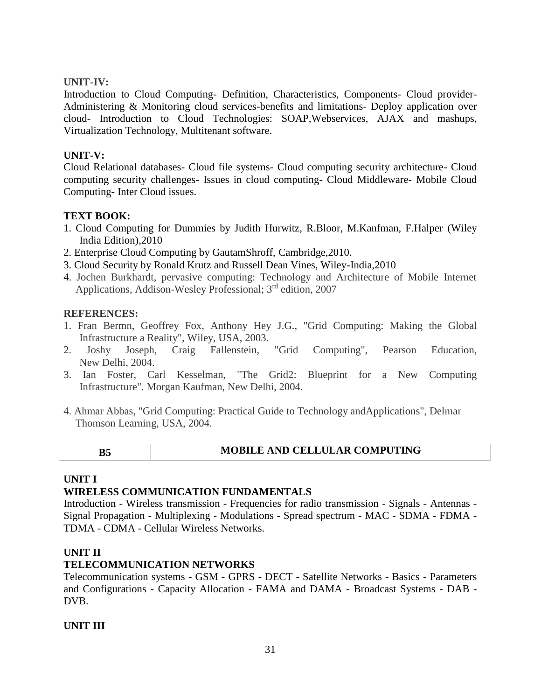#### **UNIT-IV:**

Introduction to Cloud Computing- Definition, Characteristics, Components- Cloud provider- Administering & Monitoring cloud services-benefits and limitations- Deploy application over cloud- Introduction to Cloud Technologies: SOAP,Webservices, AJAX and mashups, Virtualization Technology, Multitenant software.

#### **UNIT-V:**

Cloud Relational databases- Cloud file systems- Cloud computing security architecture- Cloud computing security challenges- Issues in cloud computing- Cloud Middleware- Mobile Cloud Computing- Inter Cloud issues.

#### **TEXT BOOK:**

- 1. Cloud Computing for Dummies by Judith Hurwitz, R.Bloor, M.Kanfman, F.Halper (Wiley India Edition),2010
- 2. Enterprise Cloud Computing by GautamShroff, Cambridge,2010.
- 3. Cloud Security by Ronald Krutz and Russell Dean Vines, Wiley-India,2010
- 4. Jochen Burkhardt, pervasive computing: Technology and Architecture of Mobile Internet Applications, Addison-Wesley Professional; 3<sup>rd</sup> edition, 2007

#### **REFERENCES:**

- 1. Fran Bermn, Geoffrey Fox, Anthony Hey J.G., "Grid Computing: Making the Global Infrastructure a Reality", Wiley, USA, 2003.
- 2. Joshy Joseph, Craig Fallenstein, "Grid Computing", Pearson Education, New Delhi, 2004.
- 3. Ian Foster, Carl Kesselman, "The Grid2: Blueprint for a New Computing Infrastructure". Morgan Kaufman, New Delhi, 2004.
- 4. Ahmar Abbas, "Grid Computing: Practical Guide to Technology andApplications", Delmar Thomson Learning, USA, 2004.

| B <sub>5</sub> | <b>MOBILE AND CELLULAR COMPUTING</b> |
|----------------|--------------------------------------|
|----------------|--------------------------------------|

### **UNIT I**

### **WIRELESS COMMUNICATION FUNDAMENTALS**

Introduction - Wireless transmission - Frequencies for radio transmission - Signals - Antennas - Signal Propagation - Multiplexing - Modulations - Spread spectrum - MAC - SDMA - FDMA - TDMA - CDMA - Cellular Wireless Networks.

#### **UNIT II**

#### **TELECOMMUNICATION NETWORKS**

Telecommunication systems - GSM - GPRS - DECT - Satellite Networks **-** Basics - Parameters and Configurations - Capacity Allocation - FAMA and DAMA - Broadcast Systems - DAB - DVB.

#### **UNIT III**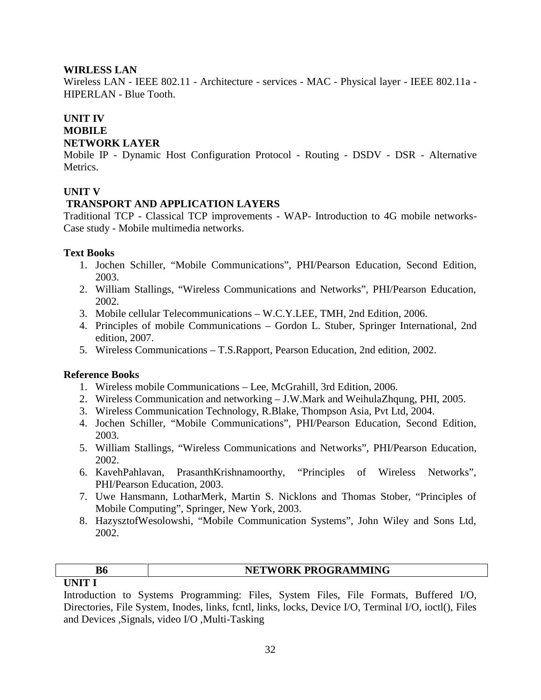#### **WIRLESS LAN**

Wireless LAN - IEEE 802.11 - Architecture - services - MAC - Physical layer - IEEE 802.11a - HIPERLAN - Blue Tooth.

#### **UNIT IV MOBILE NETWORK LAYER**

Mobile IP - Dynamic Host Configuration Protocol - Routing - DSDV - DSR - Alternative Metrics.

#### **UNIT V**

#### **TRANSPORT AND APPLICATION LAYERS**

Traditional TCP - Classical TCP improvements - WAP- Introduction to 4G mobile networks- Case study - Mobile multimedia networks.

#### **Text Books**

- 1. Jochen Schiller, "Mobile Communications", PHI/Pearson Education, Second Edition, 2003.
- 2. William Stallings, "Wireless Communications and Networks", PHI/Pearson Education, 2002.
- 3. Mobile cellular Telecommunications W.C.Y.LEE, TMH, 2nd Edition, 2006.
- 4. Principles of mobile Communications Gordon L. Stuber, Springer International, 2nd edition, 2007.
- 5. Wireless Communications T.S.Rapport, Pearson Education, 2nd edition, 2002.

#### **Reference Books**

- 1. Wireless mobile Communications Lee, McGrahill, 3rd Edition, 2006.
- 2. Wireless Communication and networking J.W.Mark and WeihulaZhqung, PHI, 2005.
- 3. Wireless Communication Technology, R.Blake, Thompson Asia, Pvt Ltd, 2004.
- 4. Jochen Schiller, "Mobile Communications", PHI/Pearson Education, Second Edition, 2003.
- 5. William Stallings, "Wireless Communications and Networks", PHI/Pearson Education, 2002.
- 6. KavehPahlavan, PrasanthKrishnamoorthy, "Principles of Wireless Networks", PHI/Pearson Education, 2003.
- 7. Uwe Hansmann, LotharMerk, Martin S. Nicklons and Thomas Stober, "Principles of Mobile Computing", Springer, New York, 2003.
- 8. HazysztofWesolowshi, "Mobile Communication Systems", John Wiley and Sons Ltd, 2002.

|          | NETWORK PROGRAMMING |
|----------|---------------------|
| I INIT 1 |                     |

Introduction to Systems Programming: Files, System Files, File Formats, Buffered I/O, Directories, File System, Inodes, links, fcntl, links, locks, Device I/O, Terminal I/O, ioctl(), Files and Devices ,Signals, video I/O ,Multi-Tasking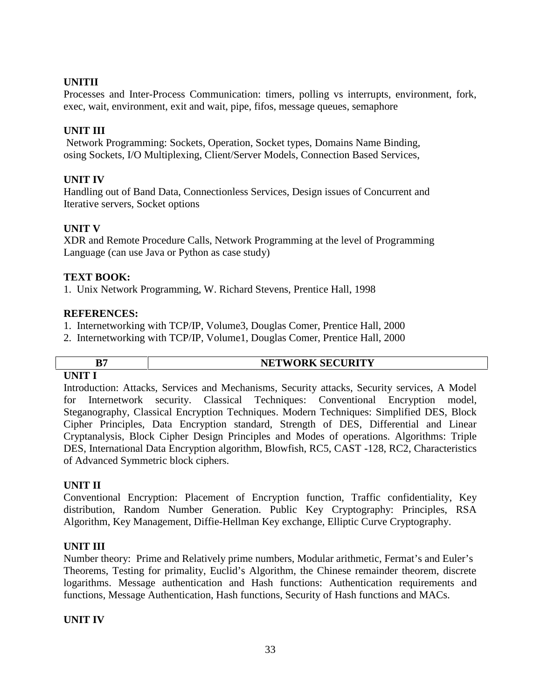#### **UNITII**

Processes and Inter-Process Communication: timers, polling vs interrupts, environment, fork, exec, wait, environment, exit and wait, pipe, fifos, message queues, semaphore

#### **UNIT III**

Network Programming: Sockets, Operation, Socket types, Domains Name Binding, osing Sockets, I/O Multiplexing, Client/Server Models, Connection Based Services,

#### **UNIT IV**

Handling out of Band Data, Connectionless Services, Design issues of Concurrent and Iterative servers, Socket options

#### **UNIT V**

XDR and Remote Procedure Calls, Network Programming at the level of Programming Language (can use Java or Python as case study)

#### **TEXT BOOK:**

1. Unix Network Programming, W. Richard Stevens, Prentice Hall, 1998

#### **REFERENCES:**

- 1. Internetworking with TCP/IP, Volume3, Douglas Comer, Prentice Hall, 2000
- 2. Internetworking with TCP/IP, Volume1, Douglas Comer, Prentice Hall, 2000

# **UNIT I**

# **B7 NETWORK SECURITY**

Introduction: Attacks, Services and Mechanisms, Security attacks, Security services, A Model for Internetwork security. Classical Techniques: Conventional Encryption model, Steganography, Classical Encryption Techniques. Modern Techniques: Simplified DES, Block Cipher Principles, Data Encryption standard, Strength of DES, Differential and Linear Cryptanalysis, Block Cipher Design Principles and Modes of operations. Algorithms: Triple DES, International Data Encryption algorithm, Blowfish, RC5, CAST -128, RC2, Characteristics of Advanced Symmetric block ciphers.

#### **UNIT II**

Conventional Encryption: Placement of Encryption function, Traffic confidentiality, Key distribution, Random Number Generation. Public Key Cryptography: Principles, RSA Algorithm, Key Management, Diffie-Hellman Key exchange, Elliptic Curve Cryptography.

#### **UNIT III**

Number theory: Prime and Relatively prime numbers, Modular arithmetic, Fermat's and Euler's Theorems, Testing for primality, Euclid's Algorithm, the Chinese remainder theorem, discrete logarithms. Message authentication and Hash functions: Authentication requirements and functions, Message Authentication, Hash functions, Security of Hash functions and MACs.

#### **UNIT IV**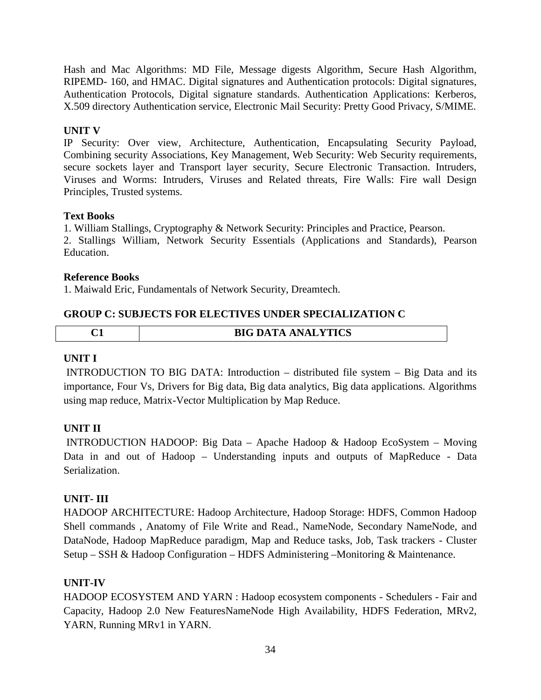Hash and Mac Algorithms: MD File, Message digests Algorithm, Secure Hash Algorithm, RIPEMD- 160, and HMAC. Digital signatures and Authentication protocols: Digital signatures, Authentication Protocols, Digital signature standards. Authentication Applications: Kerberos, X.509 directory Authentication service, Electronic Mail Security: Pretty Good Privacy, S/MIME.

# **UNIT V**

IP Security: Over view, Architecture, Authentication, Encapsulating Security Payload, Combining security Associations, Key Management, Web Security: Web Security requirements, secure sockets layer and Transport layer security, Secure Electronic Transaction. Intruders, Viruses and Worms: Intruders, Viruses and Related threats, Fire Walls: Fire wall Design Principles, Trusted systems.

### **Text Books**

1. William Stallings, Cryptography & Network Security: Principles and Practice, Pearson. 2. Stallings William, Network Security Essentials (Applications and Standards), Pearson Education.

#### **Reference Books**

1. Maiwald Eric, Fundamentals of Network Security, Dreamtech.

#### **GROUP C: SUBJECTS FOR ELECTIVES UNDER SPECIALIZATION C**

| ∼ | <b>BIG DATA ANALYTICS</b> |
|---|---------------------------|
|   |                           |

#### **UNIT I**

INTRODUCTION TO BIG DATA: Introduction – distributed file system – Big Data and its importance, Four Vs, Drivers for Big data, Big data analytics, Big data applications. Algorithms using map reduce, Matrix-Vector Multiplication by Map Reduce.

### **UNIT II**

INTRODUCTION HADOOP: Big Data – Apache Hadoop & Hadoop EcoSystem – Moving Data in and out of Hadoop – Understanding inputs and outputs of MapReduce - Data Serialization.

### **UNIT- III**

HADOOP ARCHITECTURE: Hadoop Architecture, Hadoop Storage: HDFS, Common Hadoop Shell commands , Anatomy of File Write and Read., NameNode, Secondary NameNode, and DataNode, Hadoop MapReduce paradigm, Map and Reduce tasks, Job, Task trackers - Cluster Setup – SSH & Hadoop Configuration – HDFS Administering –Monitoring & Maintenance.

### **UNIT-IV**

HADOOP ECOSYSTEM AND YARN : Hadoop ecosystem components - Schedulers - Fair and Capacity, Hadoop 2.0 New FeaturesNameNode High Availability, HDFS Federation, MRv2, YARN, Running MRv1 in YARN.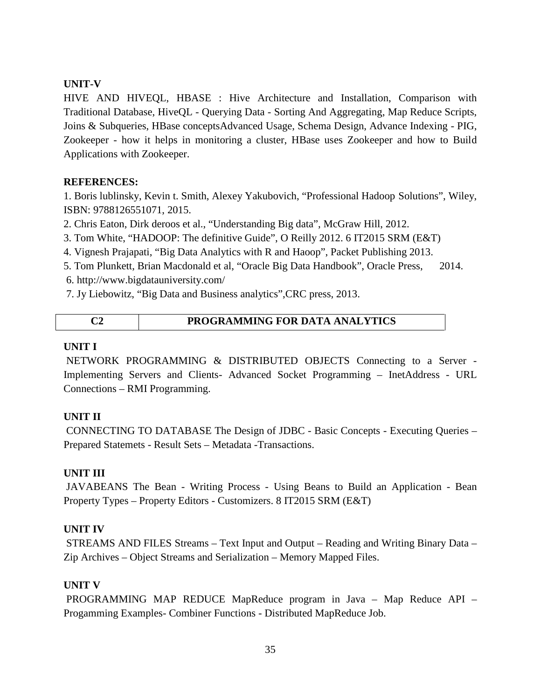#### **UNIT-V**

HIVE AND HIVEQL, HBASE : Hive Architecture and Installation, Comparison with Traditional Database, HiveQL - Querying Data - Sorting And Aggregating, Map Reduce Scripts, Joins & Subqueries, HBase conceptsAdvanced Usage, Schema Design, Advance Indexing - PIG, Zookeeper - how it helps in monitoring a cluster, HBase uses Zookeeper and how to Build Applications with Zookeeper.

#### **REFERENCES:**

1. Boris lublinsky, Kevin t. Smith, Alexey Yakubovich, "Professional Hadoop Solutions", Wiley, ISBN: 9788126551071, 2015.

- 2. Chris Eaton, Dirk deroos et al., "Understanding Big data", McGraw Hill, 2012.
- 3. Tom White, "HADOOP: The definitive Guide", O Reilly 2012. 6 IT2015 SRM (E&T)
- 4. Vignesh Prajapati, "Big Data Analytics with R and Haoop", Packet Publishing 2013.
- 5. Tom Plunkett, Brian Macdonald et al, "Oracle Big Data Handbook", Oracle Press, 2014.
- 6. http://www.bigdatauniversity.com/
- 7. Jy Liebowitz, "Big Data and Business analytics",CRC press, 2013.

| PROGRAMMING FOR DATA ANALYTICS |
|--------------------------------|
|                                |

#### **UNIT I**

NETWORK PROGRAMMING & DISTRIBUTED OBJECTS Connecting to a Server - Implementing Servers and Clients- Advanced Socket Programming – InetAddress - URL Connections – RMI Programming.

#### **UNIT II**

CONNECTING TO DATABASE The Design of JDBC - Basic Concepts - Executing Queries – Prepared Statemets - Result Sets – Metadata -Transactions.

#### **UNIT III**

JAVABEANS The Bean - Writing Process - Using Beans to Build an Application - Bean Property Types – Property Editors - Customizers. 8 IT2015 SRM (E&T)

#### **UNIT IV**

STREAMS AND FILES Streams – Text Input and Output – Reading and Writing Binary Data – Zip Archives – Object Streams and Serialization – Memory Mapped Files.

#### **UNIT V**

PROGRAMMING MAP REDUCE MapReduce program in Java – Map Reduce API – Progamming Examples- Combiner Functions - Distributed MapReduce Job.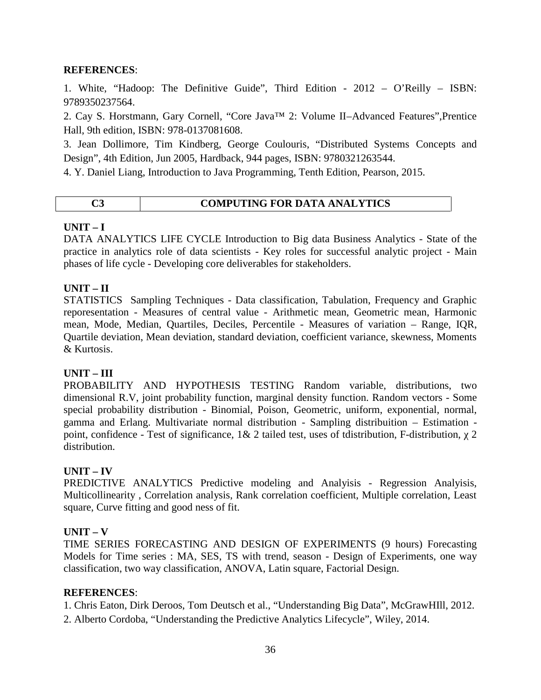#### **REFERENCES**:

1. White, "Hadoop: The Definitive Guide", Third Edition - 2012 – O'Reilly – ISBN: 9789350237564.

2. Cay S. Horstmann, Gary Cornell, "Core Java™ 2: Volume II–Advanced Features",Prentice Hall, 9th edition, ISBN: 978-0137081608.

3. Jean Dollimore, Tim Kindberg, George Coulouris, "Distributed Systems Concepts and Design", 4th Edition, Jun 2005, Hardback, 944 pages, ISBN: 9780321263544.

4. Y. Daniel Liang, Introduction to Java Programming, Tenth Edition, Pearson, 2015.

# **C3 COMPUTING FOR DATA ANALYTICS**

#### **UNIT – I**

DATA ANALYTICS LIFE CYCLE Introduction to Big data Business Analytics - State of the practice in analytics role of data scientists - Key roles for successful analytic project - Main phases of life cycle - Developing core deliverables for stakeholders.

#### **UNIT – II**

STATISTICS Sampling Techniques - Data classification, Tabulation, Frequency and Graphic reporesentation - Measures of central value -Arithmetic mean, Geometric mean, Harmonic mean, Mode, Median, Quartiles, Deciles, Percentile - Measures of variation – Range, IQR, Quartile deviation, Mean deviation, standard deviation, coefficient variance, skewness, Moments & Kurtosis.

### **UNIT – III**

PROBABILITY AND HYPOTHESIS TESTING Random variable, distributions, two dimensional R.V, joint probability function, marginal density function. Random vectors - Some special probability distribution - Binomial, Poison, Geometric, uniform, exponential, normal, gamma and Erlang. Multivariate normal distribution - Sampling distribuition – Estimation point, confidence - Test of significance,  $1 & 2$  tailed test, uses of tdistribution, F-distribution, 2 distribution.

#### **UNIT – IV**

PREDICTIVE ANALYTICS Predictive modeling and Analyisis - Regression Analyisis, Multicollinearity , Correlation analysis, Rank correlation coefficient, Multiple correlation, Least square, Curve fitting and good ness of fit.

#### $UNIT - V$

TIME SERIES FORECASTING AND DESIGN OF EXPERIMENTS (9 hours) Forecasting Models for Time series : MA, SES, TS with trend, season - Design of Experiments, one way classification, two way classification, ANOVA, Latin square, Factorial Design.

#### **REFERENCES**:

1. Chris Eaton, Dirk Deroos, Tom Deutsch et al., "Understanding Big Data", McGrawHIll, 2012. 2. Alberto Cordoba, "Understanding the Predictive Analytics Lifecycle", Wiley, 2014.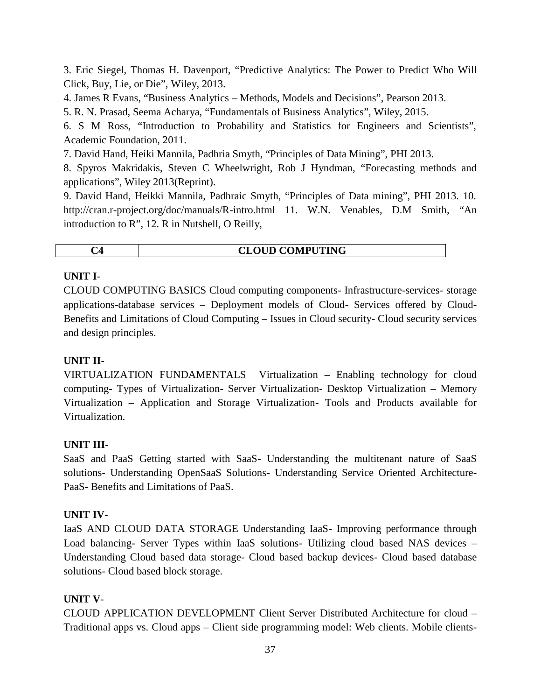3. Eric Siegel, Thomas H. Davenport, "Predictive Analytics: The Power to Predict Who Will Click, Buy, Lie, or Die", Wiley, 2013.

4. James R Evans, "Business Analytics – Methods, Models and Decisions", Pearson 2013.

5. R. N. Prasad, Seema Acharya, "Fundamentals of Business Analytics", Wiley, 2015.

6. S M Ross, "Introduction to Probability and Statistics for Engineers and Scientists", Academic Foundation, 2011.

7. David Hand, Heiki Mannila, Padhria Smyth, "Principles of Data Mining", PHI 2013.

8. Spyros Makridakis, Steven C Wheelwright, Rob J Hyndman, "Forecasting methods and applications", Wiley 2013(Reprint).

9. David Hand, Heikki Mannila, Padhraic Smyth, "Principles of Data mining", PHI 2013. 10. http://cran.r-project.org/doc/manuals/R-intro.html 11. W.N. Venables, D.M Smith, "An introduction to R", 12. R in Nutshell, O Reilly,

| <b>LOUD COMPUTING</b><br>$\mathbf{C}$<br>$\mathcal{L}$<br>___ |
|---------------------------------------------------------------|
|---------------------------------------------------------------|

# **UNIT I**-

CLOUD COMPUTING BASICS Cloud computing components- Infrastructure-services- storage applications-database services – Deployment models of Cloud- Services offered by Cloud- Benefits and Limitations of Cloud Computing – Issues in Cloud security- Cloud security services and design principles.

# **UNIT II**-

VIRTUALIZATION FUNDAMENTALS Virtualization – Enabling technology for cloud computing- Types of Virtualization- Server Virtualization- Desktop Virtualization – Memory Virtualization – Application and Storage Virtualization- Tools and Products available for Virtualization.

### **UNIT III**-

SaaS and PaaS Getting started with SaaS- Understanding the multitenant nature of SaaS solutions- Understanding OpenSaaS Solutions- Understanding Service Oriented Architecture- PaaS- Benefits and Limitations of PaaS.

### **UNIT IV**-

IaaS AND CLOUD DATA STORAGE Understanding IaaS- Improving performance through Load balancing- Server Types within IaaS solutions- Utilizing cloud based NAS devices – Understanding Cloud based data storage- Cloud based backup devices- Cloud based database solutions- Cloud based block storage.

# **UNIT V**-

CLOUD APPLICATION DEVELOPMENT Client Server Distributed Architecture for cloud – Traditional apps vs. Cloud apps – Client side programming model: Web clients. Mobile clients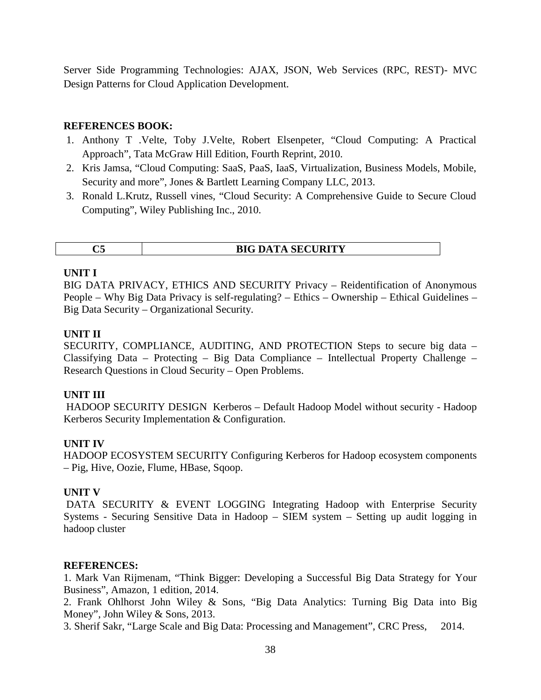Server Side Programming Technologies: AJAX, JSON, Web Services (RPC, REST)- MVC Design Patterns for Cloud Application Development.

#### **REFERENCES BOOK:**

- 1. Anthony T .Velte, Toby J.Velte, Robert Elsenpeter, "Cloud Computing: A Practical Approach", Tata McGraw Hill Edition, Fourth Reprint, 2010.
- 2. Kris Jamsa, "Cloud Computing: SaaS, PaaS, IaaS, Virtualization, Business Models, Mobile, Security and more", Jones & Bartlett Learning Company LLC, 2013.
- 3. Ronald L.Krutz, Russell vines, "Cloud Security: A Comprehensive Guide to Secure Cloud Computing", Wiley Publishing Inc., 2010.

|  | <b>BIG DATA SECURITY</b> |
|--|--------------------------|
|  |                          |

#### **UNIT I**

BIG DATA PRIVACY, ETHICS AND SECURITY Privacy – Reidentification of Anonymous People – Why Big Data Privacy is self-regulating? – Ethics – Ownership – Ethical Guidelines – Big Data Security – Organizational Security.

#### **UNIT II**

SECURITY, COMPLIANCE, AUDITING, AND PROTECTION Steps to secure big data – Classifying Data – Protecting – Big Data Compliance – Intellectual Property Challenge – Research Questions in Cloud Security – Open Problems.

#### **UNIT III**

HADOOP SECURITY DESIGN Kerberos – Default Hadoop Model without security - Hadoop Kerberos Security Implementation & Configuration.

#### **UNIT IV**

HADOOP ECOSYSTEM SECURITY Configuring Kerberos for Hadoop ecosystem components – Pig, Hive, Oozie, Flume, HBase, Sqoop.

#### **UNIT V**

DATA SECURITY & EVENT LOGGING Integrating Hadoop with Enterprise Security Systems - Securing Sensitive Data in Hadoop – SIEM system – Setting up audit logging in hadoop cluster

#### **REFERENCES:**

1. Mark Van Rijmenam, "Think Bigger: Developing a Successful Big Data Strategy for Your Business", Amazon, 1 edition, 2014.

2. Frank Ohlhorst John Wiley & Sons, "Big Data Analytics: Turning Big Data into Big Money", John Wiley & Sons, 2013.

3. Sherif Sakr, "Large Scale and Big Data: Processing and Management", CRC Press, 2014.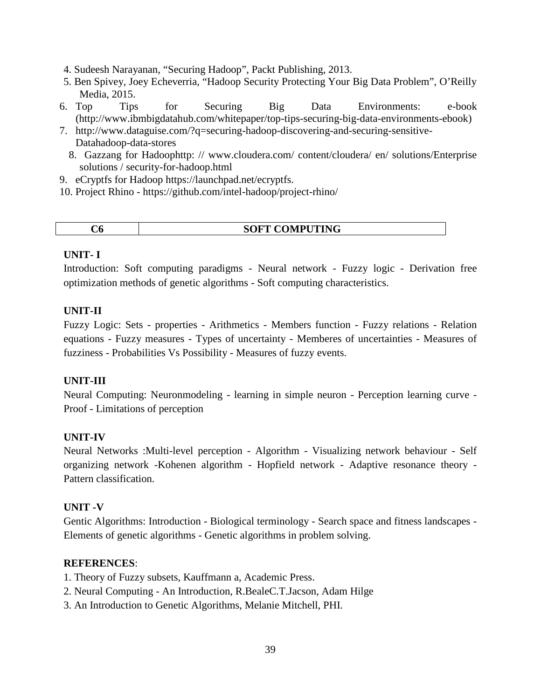- 4. Sudeesh Narayanan, "Securing Hadoop", Packt Publishing, 2013.
- 5. Ben Spivey, Joey Echeverria, "Hadoop Security Protecting Your Big Data Problem", O'Reilly Media, 2015.
- 6. Top Tips for Securing Big Data Environments: e-book (http://www.ibmbigdatahub.com/whitepaper/top-tips-securing-big-data-environments-ebook)
- 7. http://www.dataguise.com/?q=securing-hadoop-discovering-and-securing-sensitive- Datahadoop-data-stores
	- 8. Gazzang for Hadoophttp: // www.cloudera.com/ content/cloudera/ en/ solutions/Enterprise solutions / security-for-hadoop.html
- 9. eCryptfs for Hadoop https://launchpad.net/ecryptfs.
- 10. Project Rhino https://github.com/intel-hadoop/project-rhino/

| ∪U | <b>SOFT COMPUTING</b> |
|----|-----------------------|
|----|-----------------------|

#### **UNIT- I**

Introduction: Soft computing paradigms - Neural network - Fuzzy logic - Derivation free optimization methods of genetic algorithms - Soft computing characteristics.

#### **UNIT-II**

Fuzzy Logic: Sets - properties - Arithmetics - Members function - Fuzzy relations - Relation equations - Fuzzy measures - Types of uncertainty - Memberes of uncertainties - Measures of fuzziness - Probabilities Vs Possibility - Measures of fuzzy events.

### **UNIT-III**

Neural Computing: Neuronmodeling - learning in simple neuron - Perception learning curve - Proof - Limitations of perception

### **UNIT-IV**

Neural Networks :Multi-level perception - Algorithm - Visualizing network behaviour - Self organizing network -Kohenen algorithm - Hopfield network - Adaptive resonance theory - Pattern classification.

#### **UNIT -V**

Gentic Algorithms: Introduction - Biological terminology - Search space and fitness landscapes - Elements of genetic algorithms - Genetic algorithms in problem solving.

#### **REFERENCES**:

- 1. Theory of Fuzzy subsets, Kauffmann a, Academic Press.
- 2. Neural Computing An Introduction, R.BealeC.T.Jacson, Adam Hilge
- 3. An Introduction to Genetic Algorithms, Melanie Mitchell, PHI.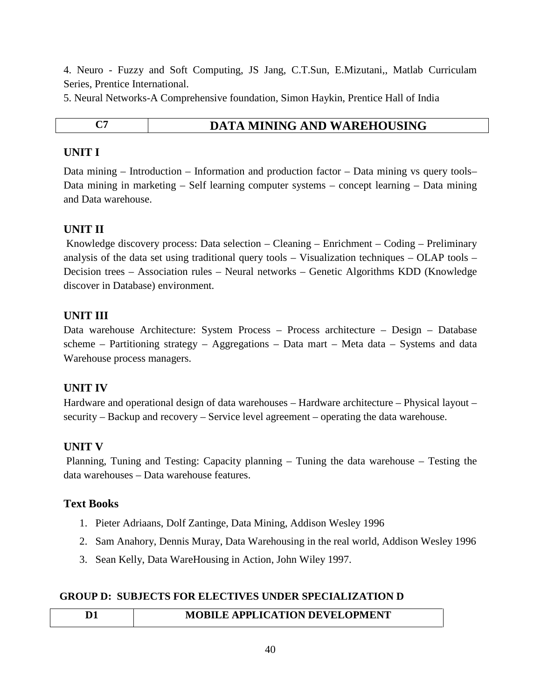4. Neuro - Fuzzy and Soft Computing, JS Jang, C.T.Sun, E.Mizutani,, Matlab Curriculam Series, Prentice International.

5. Neural Networks-A Comprehensive foundation, Simon Haykin, Prentice Hall of India

| ۰                        |  |
|--------------------------|--|
| ۰.<br>×<br>۰,<br>۹<br>., |  |

# **C<sub>7</sub> DATA MINING AND WAREHOUSING**

# **UNIT I**

Data mining – Introduction – Information and production factor – Data mining vs query tools– Data mining in marketing – Self learning computer systems – concept learning – Data mining and Data warehouse.

# **UNIT II**

Knowledge discovery process: Data selection – Cleaning – Enrichment – Coding – Preliminary analysis of the data set using traditional query tools – Visualization techniques – OLAP tools – Decision trees – Association rules – Neural networks – Genetic Algorithms KDD (Knowledge discover in Database) environment.

# **UNIT III**

Data warehouse Architecture: System Process – Process architecture – Design – Database scheme – Partitioning strategy – Aggregations – Data mart – Meta data – Systems and data Warehouse process managers.

### **UNIT IV**

Hardware and operational design of data warehouses – Hardware architecture – Physical layout – security – Backup and recovery – Service level agreement – operating the data warehouse.

### **UNIT V**

Planning, Tuning and Testing: Capacity planning – Tuning the data warehouse – Testing the data warehouses – Data warehouse features.

### **Text Books**

- 1. Pieter Adriaans, Dolf Zantinge, Data Mining, Addison Wesley 1996
- 2. Sam Anahory, Dennis Muray, Data Warehousing in the real world, Addison Wesley 1996
- 3. Sean Kelly, Data WareHousing in Action, John Wiley 1997.

### **GROUP D: SUBJECTS FOR ELECTIVES UNDER SPECIALIZATION D**

# **D1 MOBILE APPLICATION DEVELOPMENT**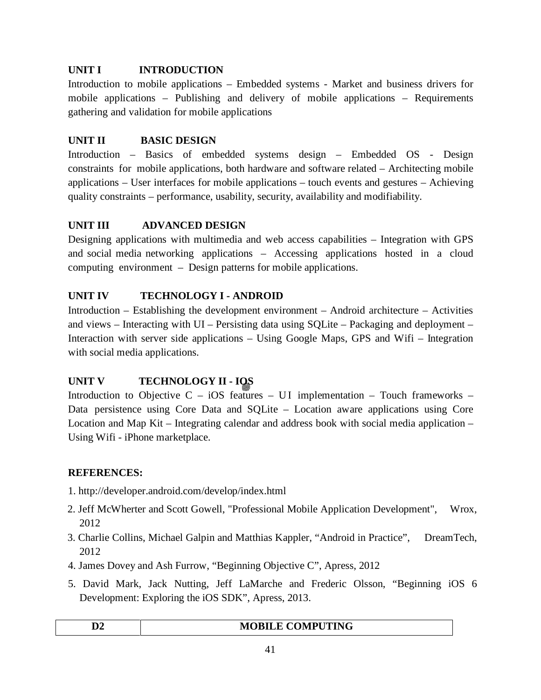# **UNIT I INTRODUCTION**

Introduction to mobile applications – Embedded systems - Market and business drivers for mobile applications – Publishing and delivery of mobile applications – Requirements gathering and validation for mobile applications

# **UNIT II BASIC DESIGN**

Introduction – Basics of embedded systems design – Embedded OS - Design constraints for mobile applications, both hardware and software related – Architecting mobile applications – User interfaces for mobile applications – touch events and gestures – Achieving quality constraints – performance, usability, security, availability and modifiability.

# **UNIT III ADVANCED DESIGN**

Designing applications with multimedia and web access capabilities – Integration with GPS and social media networking applications – Accessing applications hosted in a cloud computing environment – Design patterns for mobile applications.

# **UNIT IV TECHNOLOGY I - ANDROID**

Introduction – Establishing the development environment – Android architecture – Activities and views – Interacting with UI – Persisting data using SQLite – Packaging and deployment – Interaction with server side applications – Using Google Maps, GPS and Wifi – Integration with social media applications.

# **UNIT V TECHNOLOGY II - IOS**

Introduction to Objective C – iOS features – UI implementation – Touch frameworks – Data persistence using Core Data and SQLite – Location aware applications using Core Location and Map Kit– Integrating calendar and address book with social media application – Using Wifi - iPhone marketplace.

### **REFERENCES:**

- 1. http://developer.android.com/develop/index.html
- 2. Jeff McWherter and Scott Gowell, "Professional Mobile Application Development", Wrox, 2012
- 3. Charlie Collins, Michael Galpin and Matthias Kappler, "Android in Practice", DreamTech, 2012
- 4. James Dovey and Ash Furrow, "Beginning Objective C", Apress, 2012
- 5. David Mark, Jack Nutting, Jeff LaMarche and Frederic Olsson, "Beginning iOS 6 Development: Exploring the iOS SDK", Apress, 2013.

| ł |  |
|---|--|
|   |  |

### **MOBILE COMPUTING**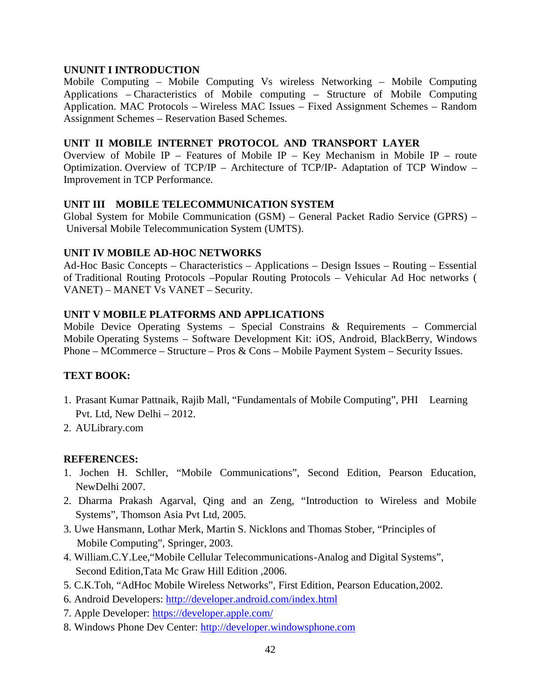#### **UNUNIT I INTRODUCTION**

Mobile Computing – Mobile Computing Vs wireless Networking – Mobile Computing Applications – Characteristics of Mobile computing – Structure of Mobile Computing Application. MAC Protocols – Wireless MAC Issues – Fixed Assignment Schemes – Random Assignment Schemes – Reservation Based Schemes.

#### **UNIT II MOBILE INTERNET PROTOCOL AND TRANSPORT LAYER**

Overview of Mobile IP – Features of Mobile IP – Key Mechanism in Mobile IP – route Optimization. Overview of TCP/IP – Architecture of TCP/IP- Adaptation of TCP Window – Improvement in TCP Performance.

#### **UNIT III MOBILE TELECOMMUNICATION SYSTEM**

Global System for Mobile Communication (GSM) – General Packet Radio Service (GPRS) – Universal Mobile Telecommunication System (UMTS).

#### **UNIT IV MOBILE AD-HOC NETWORKS**

Ad-Hoc Basic Concepts – Characteristics – Applications – Design Issues – Routing – Essential of Traditional Routing Protocols –Popular Routing Protocols – Vehicular Ad Hoc networks ( VANET) – MANET Vs VANET – Security.

#### **UNIT V MOBILE PLATFORMS AND APPLICATIONS**

Mobile Device Operating Systems – Special Constrains & Requirements – Commercial Mobile Operating Systems – Software Development Kit: iOS, Android, BlackBerry, Windows Phone – MCommerce – Structure – Pros & Cons – Mobile Payment System – Security Issues.

#### **TEXT BOOK:**

- 1. Prasant Kumar Pattnaik, Rajib Mall, "Fundamentals of Mobile Computing", PHI Learning Pvt. Ltd, New Delhi – 2012.
- 2. AULibrary.com

#### **REFERENCES:**

- 1. Jochen H. Schller, "Mobile Communications", Second Edition, Pearson Education, NewDelhi 2007.
- 2. Dharma Prakash Agarval, Qing and an Zeng, "Introduction to Wireless and Mobile Systems", Thomson Asia Pvt Ltd, 2005.
- 3. Uwe Hansmann, Lothar Merk, Martin S. Nicklons and Thomas Stober, "Principles of Mobile Computing", Springer, 2003.
- 4. William.C.Y.Lee,"Mobile Cellular Telecommunications-Analog and Digital Systems", Second Edition,Tata Mc Graw Hill Edition ,2006.
- 5. C.K.Toh, "AdHoc Mobile Wireless Networks", First Edition, Pearson Education,2002.
- 6. Android Developers: http://developer.android.com/index.html
- 7. Apple Developer: https://developer.apple.com/
- 8. Windows Phone Dev Center: http://developer.windowsphone.com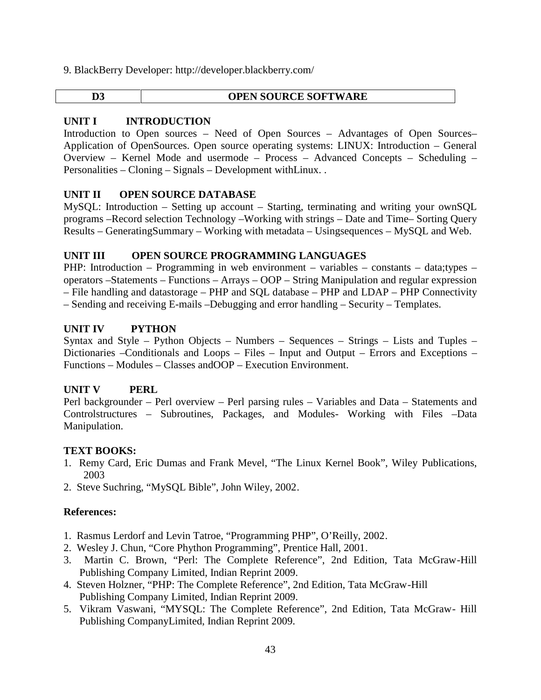9. BlackBerry Developer: http://developer.blackberry.com/

#### **UNIT I INTRODUCTION**

Introduction to Open sources – Need of Open Sources – Advantages of Open Sources– Application of OpenSources. Open source operating systems: LINUX: Introduction – General Overview – Kernel Mode and usermode – Process – Advanced Concepts – Scheduling – Personalities – Cloning – Signals – Development withLinux. .

#### **UNIT II OPEN SOURCE DATABASE**

MySQL: Introduction – Setting up account – Starting, terminating and writing your ownSQL programs –Record selection Technology –Working with strings – Date and Time– Sorting Query Results – GeneratingSummary – Working with metadata – Usingsequences – MySQL and Web.

#### **UNIT III OPEN SOURCE PROGRAMMING LANGUAGES**

PHP: Introduction – Programming in web environment – variables – constants – data;types – operators –Statements – Functions – Arrays – OOP – String Manipulation and regular expression – File handling and datastorage – PHP and SQL database – PHP and LDAP – PHP Connectivity

– Sending and receiving E-mails –Debugging and error handling – Security – Templates.

#### **UNIT IV PYTHON**

Syntax and Style – Python Objects – Numbers – Sequences – Strings – Lists and Tuples – Dictionaries –Conditionals and Loops – Files – Input and Output – Errors and Exceptions – Functions – Modules – Classes andOOP – Execution Environment.

#### **UNIT V PERL**

Perl backgrounder – Perl overview – Perl parsing rules – Variables and Data – Statements and Controlstructures – Subroutines, Packages, and Modules- Working with Files –Data Manipulation.

#### **TEXT BOOKS:**

- 1. Remy Card, Eric Dumas and Frank Mevel, "The Linux Kernel Book", Wiley Publications, 2003
- 2. Steve Suchring, "MySQL Bible", John Wiley, 2002.

#### **References:**

- 1. Rasmus Lerdorf and Levin Tatroe, "Programming PHP", O'Reilly, 2002.
- 2. Wesley J. Chun, "Core Phython Programming", Prentice Hall, 2001.
- 3. Martin C. Brown, "Perl: The Complete Reference", 2nd Edition, Tata McGraw-Hill Publishing Company Limited, Indian Reprint 2009.
- 4. Steven Holzner, "PHP: The Complete Reference", 2nd Edition, Tata McGraw-Hill Publishing Company Limited, Indian Reprint 2009.
- 5. Vikram Vaswani, "MYSQL: The Complete Reference", 2nd Edition, Tata McGraw- Hill Publishing CompanyLimited, Indian Reprint 2009.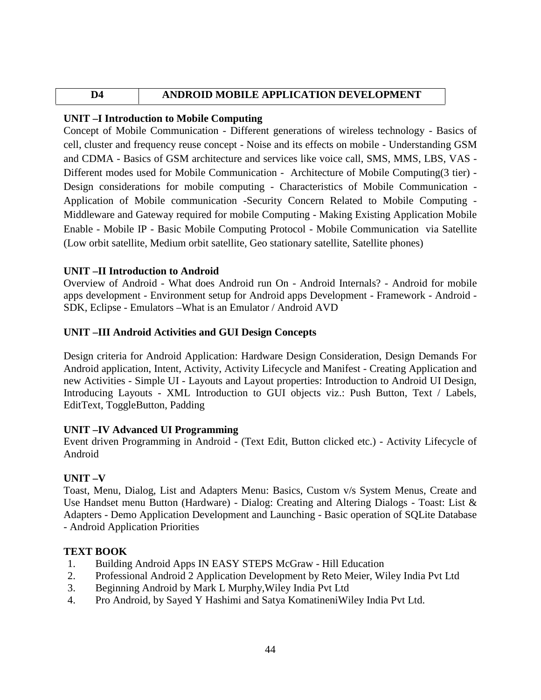# **D4 ANDROID MOBILE APPLICATION DEVELOPMENT**

# **UNIT –I Introduction to Mobile Computing**

Concept of Mobile Communication - Different generations of wireless technology - Basics of cell, cluster and frequency reuse concept - Noise and its effects on mobile - Understanding GSM and CDMA - Basics of GSM architecture and services like voice call, SMS, MMS, LBS, VAS - Different modes used for Mobile Communication - Architecture of Mobile Computing(3 tier) - Design considerations for mobile computing - Characteristics of Mobile Communication - Application of Mobile communication -Security Concern Related to Mobile Computing - Middleware and Gateway required for mobile Computing - Making Existing Application Mobile Enable - Mobile IP - Basic Mobile Computing Protocol - Mobile Communication via Satellite (Low orbit satellite, Medium orbit satellite, Geo stationary satellite, Satellite phones)

### **UNIT –II Introduction to Android**

Overview of Android - What does Android run On - Android Internals? - Android for mobile apps development - Environment setup for Android apps Development - Framework - Android - SDK, Eclipse - Emulators –What is an Emulator / Android AVD

# **UNIT –III Android Activities and GUI Design Concepts**

Design criteria for Android Application: Hardware Design Consideration, Design Demands For Android application, Intent, Activity, Activity Lifecycle and Manifest - Creating Application and new Activities - Simple UI - Layouts and Layout properties: Introduction to Android UI Design, Introducing Layouts - XML Introduction to GUI objects viz.: Push Button, Text / Labels, EditText, ToggleButton, Padding

### **UNIT –IV Advanced UI Programming**

Event driven Programming in Android - (Text Edit, Button clicked etc.) - Activity Lifecycle of Android

### **UNIT –V**

Toast, Menu, Dialog, List and Adapters Menu: Basics, Custom v/s System Menus, Create and Use Handset menu Button (Hardware) - Dialog: Creating and Altering Dialogs - Toast: List & Adapters - Demo Application Development and Launching - Basic operation of SQLite Database - Android Application Priorities

### **TEXT BOOK**

- 1. Building Android Apps IN EASY STEPS McGraw Hill Education
- 2. Professional Android 2 Application Development by Reto Meier, Wiley India Pvt Ltd
- 3. Beginning Android by Mark L Murphy,Wiley India Pvt Ltd
- 4. Pro Android, by Sayed Y Hashimi and Satya KomatineniWiley India Pvt Ltd.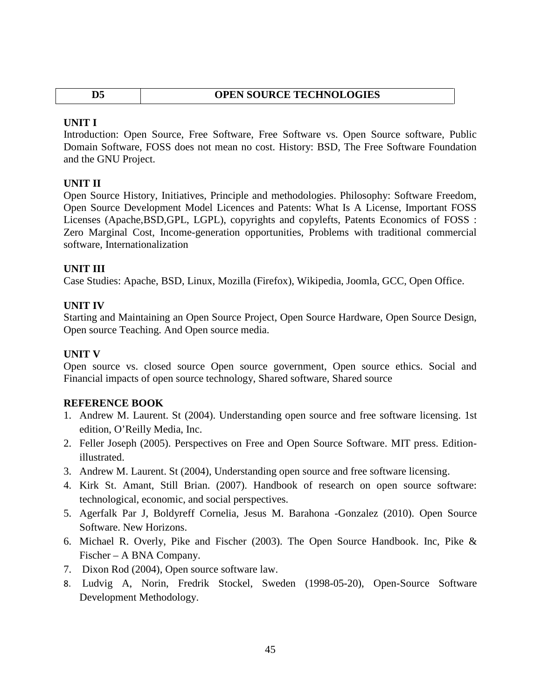| D5 | <b>OPEN SOURCE TECHNOLOGIES</b> |
|----|---------------------------------|

#### **UNIT I**

Introduction: Open Source, Free Software, Free Software vs. Open Source software, Public Domain Software, FOSS does not mean no cost. History: BSD, The Free Software Foundation and the GNU Project.

#### **UNIT II**

Open Source History, Initiatives, Principle and methodologies. Philosophy: Software Freedom, Open Source Development Model Licences and Patents: What Is A License, Important FOSS Licenses (Apache,BSD,GPL, LGPL), copyrights and copylefts, Patents Economics of FOSS : Zero Marginal Cost, Income-generation opportunities, Problems with traditional commercial software, Internationalization

#### **UNIT III**

Case Studies: Apache, BSD, Linux, Mozilla (Firefox), Wikipedia, Joomla, GCC, Open Office.

#### **UNIT IV**

Starting and Maintaining an Open Source Project, Open Source Hardware, Open Source Design, Open source Teaching. And Open source media.

#### **UNIT V**

Open source vs. closed source Open source government, Open source ethics. Social and Financial impacts of open source technology, Shared software, Shared source

#### **REFERENCE BOOK**

- 1. Andrew M. Laurent. St (2004). Understanding open source and free software licensing. 1st edition, O'Reilly Media, Inc.
- 2. Feller Joseph (2005). Perspectives on Free and Open Source Software. MIT press. Editionillustrated.
- 3. Andrew M. Laurent. St (2004), Understanding open source and free software licensing.
- 4. Kirk St. Amant, Still Brian. (2007). Handbook of research on open source software: technological, economic, and social perspectives.
- 5. Agerfalk Par J, Boldyreff Cornelia, Jesus M. Barahona -Gonzalez (2010). Open Source Software. New Horizons.
- 6. Michael R. Overly, Pike and Fischer (2003). The Open Source Handbook. Inc, Pike & Fischer – A BNA Company.
- 7. Dixon Rod (2004), Open source software law.
- 8. Ludvig A, Norin, Fredrik Stockel, Sweden (1998-05-20), Open-Source Software Development Methodology.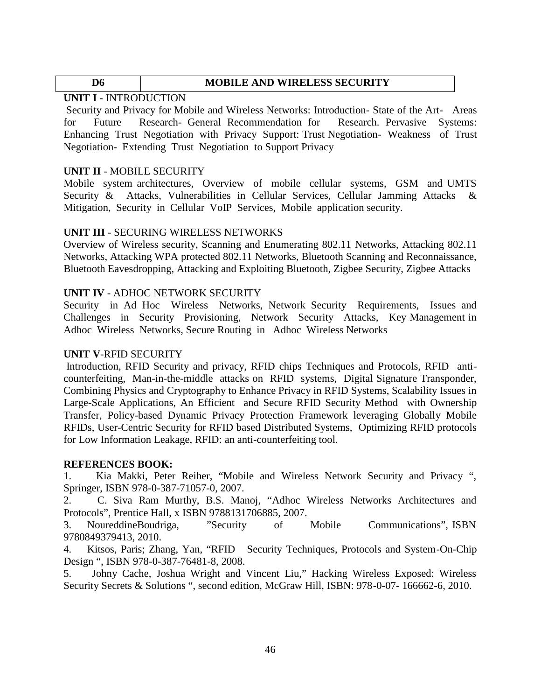#### **D6 MOBILE AND WIRELESS SECURITY**

#### **UNIT I** - INTRODUCTION

Security and Privacy for Mobile and Wireless Networks: Introduction- State of the Art- Areas for Future Research- General Recommendation for Research. Pervasive Systems: Enhancing Trust Negotiation with Privacy Support: Trust Negotiation- Weakness of Trust Negotiation- Extending Trust Negotiation to Support Privacy

#### **UNIT II** - MOBILE SECURITY

Mobile system architectures, Overview of mobile cellular systems, GSM and UMTS Security & Attacks, Vulnerabilities in Cellular Services, Cellular Jamming Attacks & Mitigation, Security in Cellular VoIP Services, Mobile application security.

#### **UNIT III** - SECURING WIRELESS NETWORKS

Overview of Wireless security, Scanning and Enumerating 802.11 Networks, Attacking 802.11 Networks, Attacking WPA protected 802.11 Networks, Bluetooth Scanning and Reconnaissance, Bluetooth Eavesdropping, Attacking and Exploiting Bluetooth, Zigbee Security, Zigbee Attacks

#### **UNIT IV** - ADHOC NETWORK SECURITY

Security in Ad Hoc Wireless Networks, Network Security Requirements, Issues and Challenges in Security Provisioning, Network Security Attacks, Key Management in Adhoc Wireless Networks, Secure Routing in Adhoc Wireless Networks

#### **UNIT V**-RFID SECURITY

Introduction, RFID Security and privacy, RFID chips Techniques and Protocols, RFID anti counterfeiting, Man-in-the-middle attacks on RFID systems, Digital Signature Transponder, Combining Physics and Cryptography to Enhance Privacy in RFID Systems, Scalability Issues in Large-Scale Applications, An Efficient and Secure RFID Security Method with Ownership Transfer, Policy-based Dynamic Privacy Protection Framework leveraging Globally Mobile RFIDs, User-Centric Security for RFID based Distributed Systems, Optimizing RFID protocols for Low Information Leakage, RFID: an anti-counterfeiting tool.

#### **REFERENCES BOOK:**

1. Kia Makki, Peter Reiher, "Mobile and Wireless Network Security and Privacy ", Springer, ISBN 978-0-387-71057-0, 2007.

2. C. Siva Ram Murthy, B.S. Manoj, "Adhoc Wireless Networks Architectures and Protocols", Prentice Hall, x ISBN 9788131706885, 2007.

3. NoureddineBoudriga, "Security of Mobile Communications", ISBN 9780849379413, 2010.

4. Kitsos, Paris; Zhang, Yan, "RFID Security Techniques, Protocols and System-On-Chip Design ", ISBN 978-0-387-76481-8, 2008.

5. Johny Cache, Joshua Wright and Vincent Liu," Hacking Wireless Exposed: Wireless Security Secrets & Solutions ", second edition, McGraw Hill, ISBN: 978-0-07-166662-6, 2010.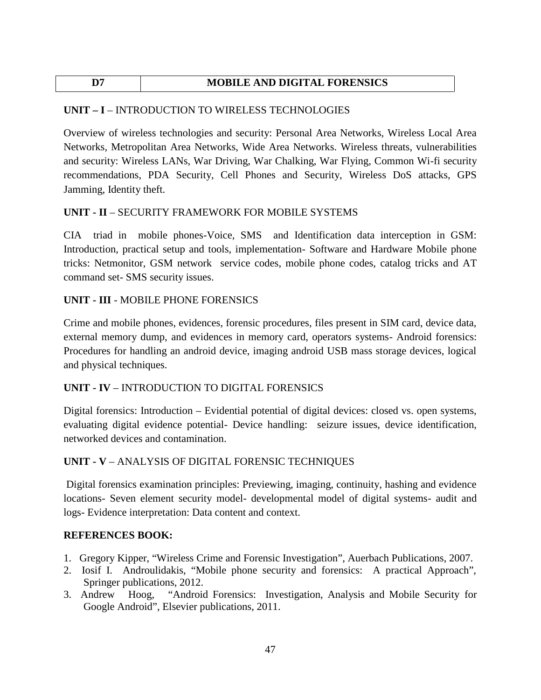# **D7 MOBILE AND DIGITAL FORENSICS**

### **UNIT – I** – INTRODUCTION TO WIRELESS TECHNOLOGIES

Overview of wireless technologies and security: Personal Area Networks, Wireless Local Area Networks, Metropolitan Area Networks, Wide Area Networks. Wireless threats, vulnerabilities and security: Wireless LANs, War Driving, War Chalking, War Flying, Common Wi-fi security recommendations, PDA Security, Cell Phones and Security, Wireless DoS attacks, GPS Jamming, Identity theft.

### **UNIT - II** – SECURITY FRAMEWORK FOR MOBILE SYSTEMS

CIA triad in mobile phones-Voice, SMS and Identification data interception in GSM: Introduction, practical setup and tools, implementation- Software and Hardware Mobile phone tricks: Netmonitor, GSM network service codes, mobile phone codes, catalog tricks and AT command set- SMS security issues.

### **UNIT - III** - MOBILE PHONE FORENSICS

Crime and mobile phones, evidences, forensic procedures, files present in SIM card, device data, external memory dump, and evidences in memory card, operators systems- Android forensics: Procedures for handling an android device, imaging android USB mass storage devices, logical and physical techniques.

### **UNIT - IV** – INTRODUCTION TO DIGITAL FORENSICS

Digital forensics: Introduction – Evidential potential of digital devices: closed vs. open systems, evaluating digital evidence potential- Device handling: seizure issues, device identification, networked devices and contamination.

# **UNIT - V** – ANALYSIS OF DIGITAL FORENSIC TECHNIQUES

Digital forensics examination principles: Previewing, imaging, continuity, hashing and evidence locations- Seven element security model- developmental model of digital systems- audit and logs- Evidence interpretation: Data content and context.

### **REFERENCES BOOK:**

- 1. Gregory Kipper, "Wireless Crime and Forensic Investigation", Auerbach Publications, 2007.
- 2. Iosif I. Androulidakis, "Mobile phone security and forensics: A practical Approach", Springer publications, 2012.
- 3. Andrew Hoog, "Android Forensics: Investigation, Analysis and Mobile Security for Google Android", Elsevier publications, 2011.